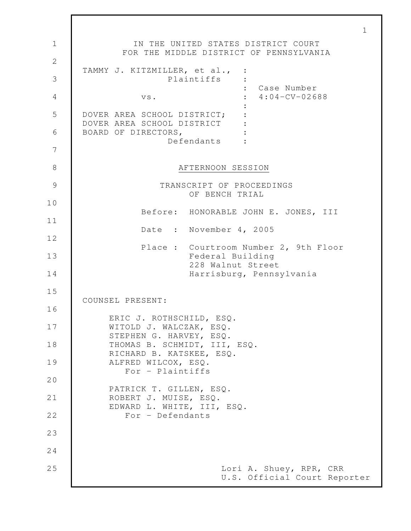1 1 **IN THE UNITED STATES DISTRICT COURT** FOR THE MIDDLE DISTRICT OF PENNSYLVANIA 2 TAMMY J. KITZMILLER, et al., : 3 Plaintiffs : : Case Number 4 vs. : 4:04-CV-02688 : 5 DOVER AREA SCHOOL DISTRICT; : DOVER AREA SCHOOL DISTRICT : 6 | BOARD OF DIRECTORS,  $\cdot$ Defendants : 7 8 AFTERNOON SESSION 9 TRANSCRIPT OF PROCEEDINGS OF BENCH TRIAL 10 Before: HONORABLE JOHN E. JONES, III 11 Date : November 4, 2005 12 Place : Courtroom Number 2, 9th Floor 13 Federal Building 228 Walnut Street 14 Harrisburg, Pennsylvania 15 COUNSEL PRESENT: 16 ERIC J. ROTHSCHILD, ESQ. 17 | WITOLD J. WALCZAK, ESQ. STEPHEN G. HARVEY, ESQ. 18 THOMAS B. SCHMIDT, III, ESQ. RICHARD B. KATSKEE, ESQ. 19 | ALFRED WILCOX, ESO. For - Plaintiffs 20 PATRICK T. GILLEN, ESQ. 21 | ROBERT J. MUISE, ESQ. EDWARD L. WHITE, III, ESQ. 22 | For - Defendants 23 24 25 Lori A. Shuey, RPR, CRR U.S. Official Court Reporter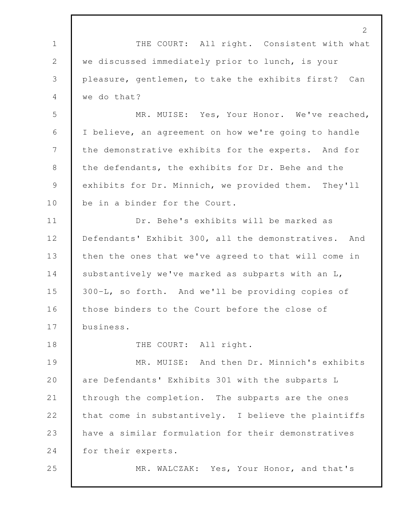1 THE COURT: All right. Consistent with what we discussed immediately prior to lunch, is your pleasure, gentlemen, to take the exhibits first? Can we do that? MR. MUISE: Yes, Your Honor. We've reached, I believe, an agreement on how we're going to handle the demonstrative exhibits for the experts. And for the defendants, the exhibits for Dr. Behe and the exhibits for Dr. Minnich, we provided them. They'll 10 be in a binder for the Court. Dr. Behe's exhibits will be marked as 12 Defendants' Exhibit 300, all the demonstratives. And 13 then the ones that we've agreed to that will come in 14 substantively we've marked as subparts with an L, 300-L, so forth. And we'll be providing copies of 16 those binders to the Court before the close of business. 18 THE COURT: All right. 19 MR. MUISE: And then Dr. Minnich's exhibits are Defendants' Exhibits 301 with the subparts L through the completion. The subparts are the ones 22 that come in substantively. I believe the plaintiffs 23 have a similar formulation for their demonstratives for their experts. MR. WALCZAK: Yes, Your Honor, and that's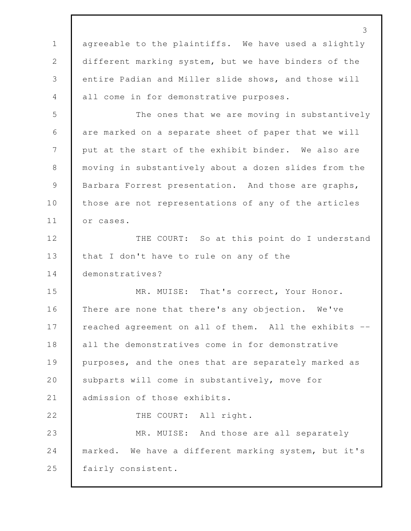3 1 agreeable to the plaintiffs. We have used a slightly 2 different marking system, but we have binders of the 3 entire Padian and Miller slide shows, and those will 4 all come in for demonstrative purposes. 5 The ones that we are moving in substantively 6 are marked on a separate sheet of paper that we will 7 put at the start of the exhibit binder. We also are 8 moving in substantively about a dozen slides from the 9 | Barbara Forrest presentation. And those are graphs, 10 those are not representations of any of the articles 11 or cases. 12 THE COURT: So at this point do I understand 13 | that I don't have to rule on any of the 14 demonstratives? 15 MR. MUISE: That's correct, Your Honor. 16 There are none that there's any objection. We've 17 | reached agreement on all of them. All the exhibits --18 all the demonstratives come in for demonstrative 19 purposes, and the ones that are separately marked as 20 subparts will come in substantively, move for 21 admission of those exhibits. 22 THE COURT: All right. 23 MR. MUISE: And those are all separately 24 marked. We have a different marking system, but it's 25 fairly consistent.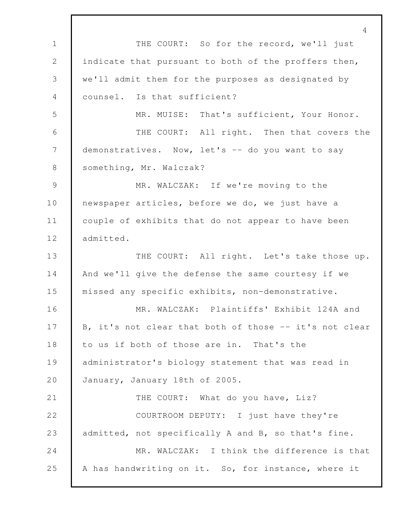4 1 THE COURT: So for the record, we'll just 2 indicate that pursuant to both of the proffers then, 3 we'll admit them for the purposes as designated by 4 counsel. Is that sufficient? 5 MR. MUISE: That's sufficient, Your Honor. 6 THE COURT: All right. Then that covers the 7 demonstratives. Now, let's -- do you want to say 8 | something, Mr. Walczak? 9 MR. WALCZAK: If we're moving to the 10 newspaper articles, before we do, we just have a 11 couple of exhibits that do not appear to have been 12 | admitted. 13 THE COURT: All right. Let's take those up. 14 And we'll give the defense the same courtesy if we 15 missed any specific exhibits, non-demonstrative. 16 MR. WALCZAK: Plaintiffs' Exhibit 124A and 17 B, it's not clear that both of those -- it's not clear 18 to us if both of those are in. That's the 19 administrator's biology statement that was read in 20 January, January 18th of 2005. 21 THE COURT: What do you have, Liz? 22 COURTROOM DEPUTY: I just have they're 23 admitted, not specifically A and B, so that's fine. 24 MR. WALCZAK: I think the difference is that 25 A has handwriting on it. So, for instance, where it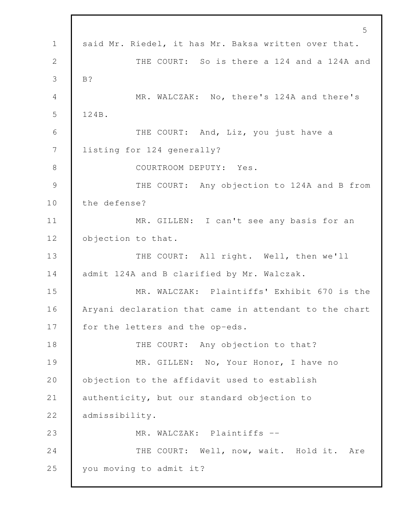5 1 said Mr. Riedel, it has Mr. Baksa written over that. 2 THE COURT: So is there a 124 and a 124A and 3 B? 4 MR. WALCZAK: No, there's 124A and there's 5 124B. 6 THE COURT: And, Liz, you just have a 7 listing for 124 generally? 8 COURTROOM DEPUTY: Yes. 9 THE COURT: Any objection to 124A and B from 10 the defense? 11 MR. GILLEN: I can't see any basis for an 12 objection to that. 13 THE COURT: All right. Well, then we'll 14 admit 124A and B clarified by Mr. Walczak. 15 MR. WALCZAK: Plaintiffs' Exhibit 670 is the 16 Aryani declaration that came in attendant to the chart 17 | for the letters and the op-eds. 18 THE COURT: Any objection to that? 19 MR. GILLEN: No, Your Honor, I have no 20 **objection to the affidavit used to establish** 21 authenticity, but our standard objection to 22 | admissibility. 23 MR. WALCZAK: Plaintiffs -- 24 THE COURT: Well, now, wait. Hold it. Are 25 you moving to admit it?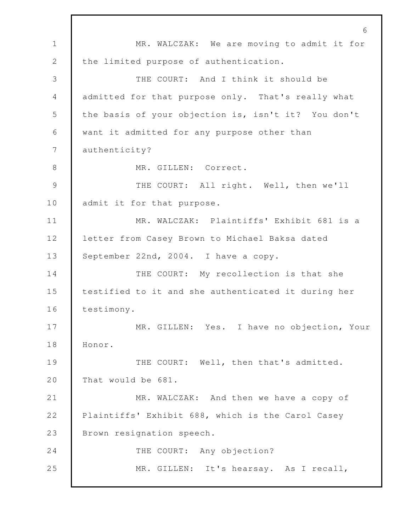6 1 MR. WALCZAK: We are moving to admit it for 2 the limited purpose of authentication. 3 THE COURT: And I think it should be 4 admitted for that purpose only. That's really what 5 the basis of your objection is, isn't it? You don't 6 want it admitted for any purpose other than 7 authenticity? 8 MR. GILLEN: Correct. 9 THE COURT: All right. Well, then we'll 10 admit it for that purpose. 11 | MR. WALCZAK: Plaintiffs' Exhibit 681 is a 12 letter from Casey Brown to Michael Baksa dated 13 September 22nd, 2004. I have a copy. 14 THE COURT: My recollection is that she 15 testified to it and she authenticated it during her 16 | testimony. 17 MR. GILLEN: Yes. I have no objection, Your 18 Honor. 19 THE COURT: Well, then that's admitted. 20 That would be 681. 21 MR. WALCZAK: And then we have a copy of 22 Plaintiffs' Exhibit 688, which is the Carol Casey 23 Brown resignation speech. 24 THE COURT: Any objection? 25 MR. GILLEN: It's hearsay. As I recall,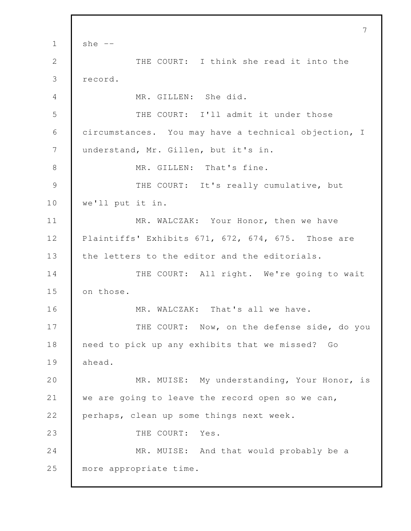7  $1 \quad$  she  $-$ 2 THE COURT: I think she read it into the 3 record. 4 MR. GILLEN: She did. 5 THE COURT: I'll admit it under those 6 circumstances. You may have a technical objection, I 7 | understand, Mr. Gillen, but it's in. 8 MR. GILLEN: That's fine. 9 THE COURT: It's really cumulative, but 10 we'll put it in. 11 MR. WALCZAK: Your Honor, then we have 12 Plaintiffs' Exhibits 671, 672, 674, 675. Those are 13 the letters to the editor and the editorials. 14 THE COURT: All right. We're going to wait 15 on those. 16 MR. WALCZAK: That's all we have. 17 THE COURT: Now, on the defense side, do you 18 need to pick up any exhibits that we missed? Go 19 ahead. 20 MR. MUISE: My understanding, Your Honor, is 21 we are going to leave the record open so we can, 22 perhaps, clean up some things next week. 23 I THE COURT: Yes. 24 MR. MUISE: And that would probably be a 25 more appropriate time.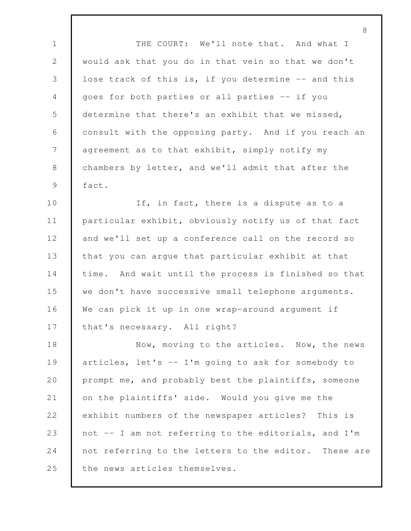1 THE COURT: We'll note that. And what I 2 would ask that you do in that vein so that we don't 3 | lose track of this is, if you determine -- and this 4 goes for both parties or all parties -- if you 5 determine that there's an exhibit that we missed, 6 consult with the opposing party. And if you reach an 7 agreement as to that exhibit, simply notify my 8 chambers by letter, and we'll admit that after the 9 fact.

10 If, in fact, there is a dispute as to a 11 particular exhibit, obviously notify us of that fact 12 and we'll set up a conference call on the record so 13 that you can argue that particular exhibit at that 14 time. And wait until the process is finished so that 15 we don't have successive small telephone arguments. 16 We can pick it up in one wrap-around argument if 17 that's necessary. All right?

18 Now, moving to the articles. Now, the news 19 articles, let's -- I'm going to ask for somebody to 20 prompt me, and probably best the plaintiffs, someone 21 on the plaintiffs' side. Would you give me the 22 exhibit numbers of the newspaper articles? This is 23 not -- I am not referring to the editorials, and I'm 24 not referring to the letters to the editor. These are 25 the news articles themselves.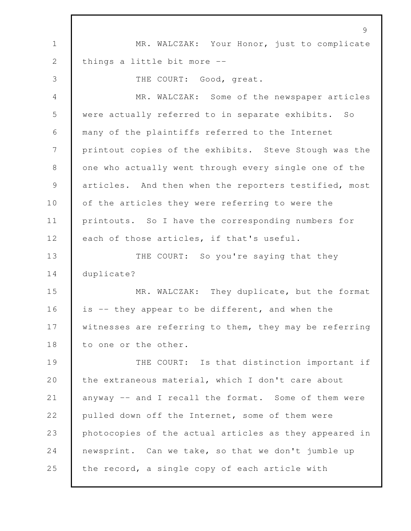9 1 MR. WALCZAK: Your Honor, just to complicate 2 | things a little bit more --3 THE COURT: Good, great. 4 MR. WALCZAK: Some of the newspaper articles 5 were actually referred to in separate exhibits. So 6 many of the plaintiffs referred to the Internet 7 printout copies of the exhibits. Steve Stough was the 8 one who actually went through every single one of the 9 articles. And then when the reporters testified, most 10 of the articles they were referring to were the 11 printouts. So I have the corresponding numbers for 12 each of those articles, if that's useful. 13 THE COURT: So you're saying that they 14 duplicate? 15 MR. WALCZAK: They duplicate, but the format 16 is -- they appear to be different, and when the 17 Witnesses are referring to them, they may be referring 18 to one or the other. 19 THE COURT: Is that distinction important if 20 the extraneous material, which I don't care about 21 anyway -- and I recall the format. Some of them were 22 pulled down off the Internet, some of them were 23 photocopies of the actual articles as they appeared in 24 newsprint. Can we take, so that we don't jumble up 25 the record, a single copy of each article with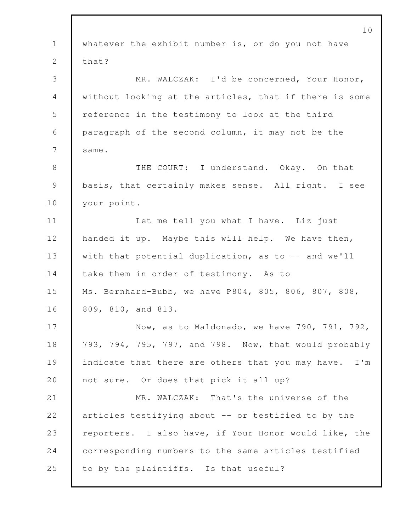|                | 10                                                     |
|----------------|--------------------------------------------------------|
| $\mathbf 1$    | whatever the exhibit number is, or do you not have     |
| 2              | that?                                                  |
| 3              | MR. WALCZAK: I'd be concerned, Your Honor,             |
| 4              | without looking at the articles, that if there is some |
| 5              | reference in the testimony to look at the third        |
| 6              | paragraph of the second column, it may not be the      |
| $\overline{7}$ | same.                                                  |
| 8              | THE COURT: I understand. Okay. On that                 |
| $\mathcal{G}$  | basis, that certainly makes sense. All right. I see    |
| 10             | your point.                                            |
| 11             | Let me tell you what I have. Liz just                  |
| 12             | handed it up. Maybe this will help. We have then,      |
| 13             | with that potential duplication, as to -- and we'll    |
| 14             | take them in order of testimony. As to                 |
| 15             | Ms. Bernhard-Bubb, we have P804, 805, 806, 807, 808,   |
| 16             | 809, 810, and 813.                                     |
| 17             | Now, as to Maldonado, we have 790, 791, 792,           |
| 18             | 793, 794, 795, 797, and 798. Now, that would probably  |
| 19             | indicate that there are others that you may have. I'm  |
| 20             | not sure. Or does that pick it all up?                 |
| 21             | MR. WALCZAK: That's the universe of the                |
| 22             | articles testifying about -- or testified to by the    |
| 23             | reporters. I also have, if Your Honor would like, the  |
| 24             | corresponding numbers to the same articles testified   |
| 25             | to by the plaintiffs. Is that useful?                  |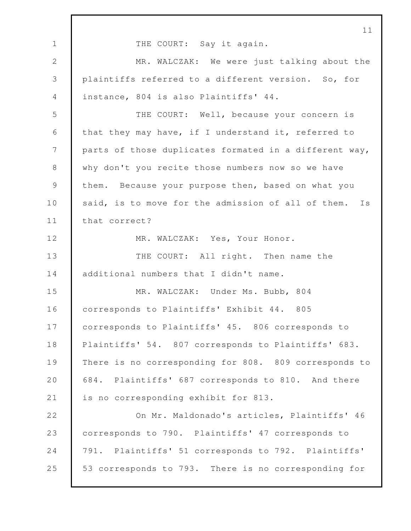1 THE COURT: Say it again. MR. WALCZAK: We were just talking about the plaintiffs referred to a different version. So, for instance, 804 is also Plaintiffs' 44. THE COURT: Well, because your concern is that they may have, if I understand it, referred to 7 parts of those duplicates formated in a different way, 8 why don't you recite those numbers now so we have 9 them. Because your purpose then, based on what you 10 said, is to move for the admission of all of them. Is 11 | that correct? 12 MR. WALCZAK: Yes, Your Honor. 13 THE COURT: All right. Then name the 14 additional numbers that I didn't name. MR. WALCZAK: Under Ms. Bubb, 804 corresponds to Plaintiffs' Exhibit 44. 805 corresponds to Plaintiffs' 45. 806 corresponds to Plaintiffs' 54. 807 corresponds to Plaintiffs' 683. There is no corresponding for 808. 809 corresponds to 684. Plaintiffs' 687 corresponds to 810. And there 21 is no corresponding exhibit for 813. **On Mr. Maldonado's articles, Plaintiffs' 46**  corresponds to 790. Plaintiffs' 47 corresponds to 791. Plaintiffs' 51 corresponds to 792. Plaintiffs' 53 corresponds to 793. There is no corresponding for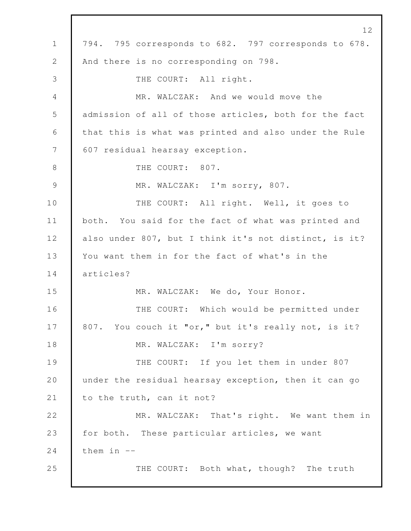12 1 794. 795 corresponds to 682. 797 corresponds to 678. 2 And there is no corresponding on 798. 3 THE COURT: All right. 4 MR. WALCZAK: And we would move the 5 admission of all of those articles, both for the fact 6 that this is what was printed and also under the Rule 7 607 residual hearsay exception. 8 THE COURT: 807. 9 MR. WALCZAK: I'm sorry, 807. 10 THE COURT: All right. Well, it goes to 11 both. You said for the fact of what was printed and 12 also under 807, but I think it's not distinct, is it? 13 You want them in for the fact of what's in the 14 articles? 15 MR. WALCZAK: We do, Your Honor. 16 THE COURT: Which would be permitted under 17 807. You couch it "or," but it's really not, is it? 18 MR. WALCZAK: I'm sorry? 19 THE COURT: If you let them in under 807 20 under the residual hearsay exception, then it can go 21 to the truth, can it not? 22 MR. WALCZAK: That's right. We want them in 23 for both. These particular articles, we want 24 them in  $-$ 25 THE COURT: Both what, though? The truth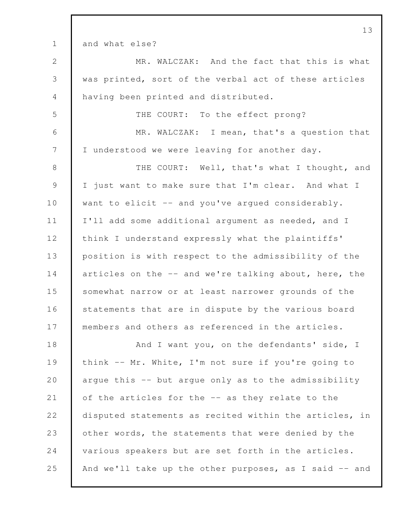1 and what else? 2 MR. WALCZAK: And the fact that this is what 3 was printed, sort of the verbal act of these articles 4 having been printed and distributed. 5 THE COURT: To the effect prong? 6 MR. WALCZAK: I mean, that's a question that 7 I understood we were leaving for another day. 8 THE COURT: Well, that's what I thought, and 9 I just want to make sure that I'm clear. And what I 10 want to elicit -- and you've arqued considerably. 11 I'll add some additional argument as needed, and I 12 think I understand expressly what the plaintiffs' 13 position is with respect to the admissibility of the 14 articles on the -- and we're talking about, here, the 15 somewhat narrow or at least narrower grounds of the 16 statements that are in dispute by the various board 17 members and others as referenced in the articles. 18 And I want you, on the defendants' side, I 19 | think -- Mr. White, I'm not sure if you're going to 20 argue this -- but argue only as to the admissibility 21 of the articles for the -- as they relate to the 22 disputed statements as recited within the articles, in 23 other words, the statements that were denied by the 24 various speakers but are set forth in the articles. 25 And we'll take up the other purposes, as I said -- and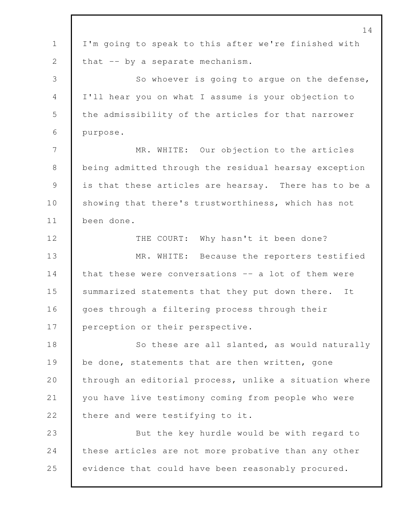|                | 14                                                     |
|----------------|--------------------------------------------------------|
| $\mathbf 1$    | I'm going to speak to this after we're finished with   |
| $\mathbf{2}$   | that -- by a separate mechanism.                       |
| 3              | So whoever is going to argue on the defense,           |
| $\overline{4}$ | I'll hear you on what I assume is your objection to    |
| 5              | the admissibility of the articles for that narrower    |
| 6              | purpose.                                               |
| 7              | MR. WHITE: Our objection to the articles               |
| 8              | being admitted through the residual hearsay exception  |
| $\mathcal{G}$  | is that these articles are hearsay. There has to be a  |
| 10             | showing that there's trustworthiness, which has not    |
| 11             | been done.                                             |
| 12             | THE COURT: Why hasn't it been done?                    |
| 13             | MR. WHITE: Because the reporters testified             |
| 14             | that these were conversations -- a lot of them were    |
| 15             | summarized statements that they put down there. It     |
| 16             | goes through a filtering process through their         |
| 17             | perception or their perspective.                       |
| 18             | So these are all slanted, as would naturally           |
| 19             | be done, statements that are then written, gone        |
| 20             | through an editorial process, unlike a situation where |
| 21             | you have live testimony coming from people who were    |
| 22             | there and were testifying to it.                       |
| 23             | But the key hurdle would be with regard to             |
| 24             | these articles are not more probative than any other   |
| 25             | evidence that could have been reasonably procured.     |
|                |                                                        |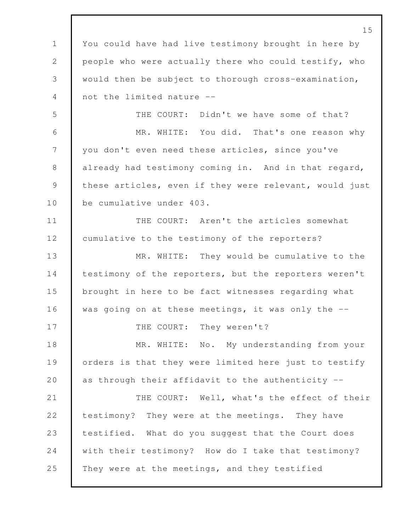15 1 You could have had live testimony brought in here by 2 people who were actually there who could testify, who 3 would then be subject to thorough cross-examination, 4 not the limited nature -- 5 THE COURT: Didn't we have some of that? 6 MR. WHITE: You did. That's one reason why 7 you don't even need these articles, since you've 8 already had testimony coming in. And in that regard, 9 these articles, even if they were relevant, would just 10 be cumulative under 403. 11 THE COURT: Aren't the articles somewhat 12 cumulative to the testimony of the reporters? 13 MR. WHITE: They would be cumulative to the 14 testimony of the reporters, but the reporters weren't 15 brought in here to be fact witnesses regarding what 16 was going on at these meetings, it was only the -- 17 THE COURT: They weren't? 18 MR. WHITE: No. My understanding from your 19 orders is that they were limited here just to testify 20 as through their affidavit to the authenticity --21 THE COURT: Well, what's the effect of their 22 testimony? They were at the meetings. They have 23 testified. What do you suggest that the Court does 24 with their testimony? How do I take that testimony? 25 They were at the meetings, and they testified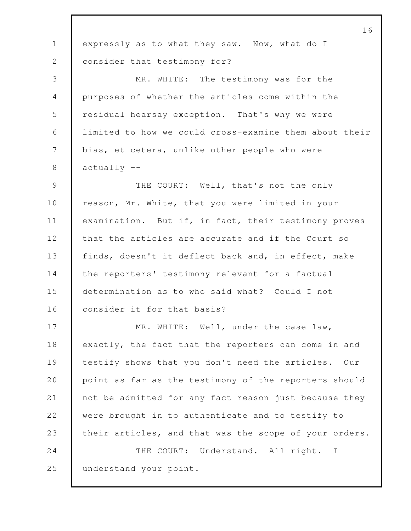|                | 16                                                     |
|----------------|--------------------------------------------------------|
| $\mathbf 1$    | expressly as to what they saw. Now, what do I          |
| 2              | consider that testimony for?                           |
| 3              | MR. WHITE: The testimony was for the                   |
| $\overline{4}$ | purposes of whether the articles come within the       |
| 5              | residual hearsay exception. That's why we were         |
| 6              | limited to how we could cross-examine them about their |
| 7              | bias, et cetera, unlike other people who were          |
| 8              | $actually --$                                          |
| $\mathcal{G}$  | THE COURT: Well, that's not the only                   |
| 10             | reason, Mr. White, that you were limited in your       |
| 11             | examination. But if, in fact, their testimony proves   |
| 12             | that the articles are accurate and if the Court so     |
| 13             | finds, doesn't it deflect back and, in effect, make    |
| 14             | the reporters' testimony relevant for a factual        |
| 15             | determination as to who said what? Could I not         |
| 16             | consider it for that basis?                            |
| 17             | MR. WHITE: Well, under the case law,                   |
| 18             | exactly, the fact that the reporters can come in and   |
| 19             | testify shows that you don't need the articles. Our    |
| 20             | point as far as the testimony of the reporters should  |
| 21             | not be admitted for any fact reason just because they  |
| 22             | were brought in to authenticate and to testify to      |
| 23             | their articles, and that was the scope of your orders. |
| 24             | THE COURT: Understand. All right. I                    |
| 25             | understand your point.                                 |
|                |                                                        |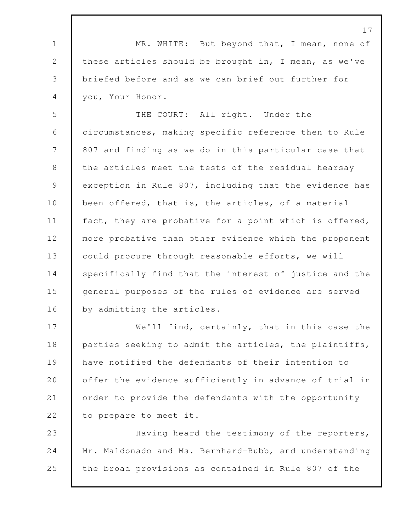1 MR. WHITE: But beyond that, I mean, none of 2 these articles should be brought in, I mean, as we've 3 briefed before and as we can brief out further for 4 you, Your Honor.

5 THE COURT: All right. Under the 6 circumstances, making specific reference then to Rule 7 807 and finding as we do in this particular case that 8 the articles meet the tests of the residual hearsay 9 exception in Rule 807, including that the evidence has 10 been offered, that is, the articles, of a material 11 | fact, they are probative for a point which is offered, 12 more probative than other evidence which the proponent 13 could procure through reasonable efforts, we will 14 specifically find that the interest of justice and the 15 general purposes of the rules of evidence are served 16 by admitting the articles.

17 We'll find, certainly, that in this case the 18 parties seeking to admit the articles, the plaintiffs, 19 have notified the defendants of their intention to 20 **offer the evidence sufficiently in advance of trial in** 21 order to provide the defendants with the opportunity 22 to prepare to meet it.

23 Having heard the testimony of the reporters, 24 Mr. Maldonado and Ms. Bernhard-Bubb, and understanding 25 the broad provisions as contained in Rule 807 of the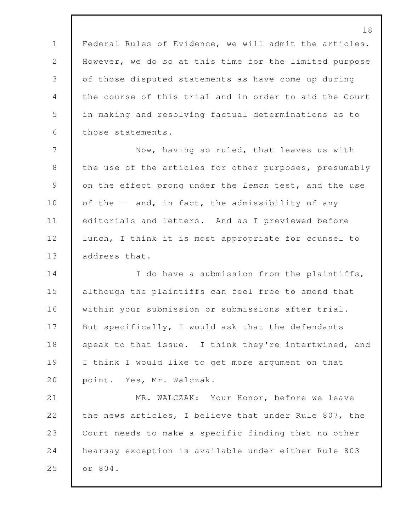Federal Rules of Evidence, we will admit the articles. However, we do so at this time for the limited purpose of those disputed statements as have come up during the course of this trial and in order to aid the Court in making and resolving factual determinations as to those statements.

 Now, having so ruled, that leaves us with 8 the use of the articles for other purposes, presumably on the effect prong under the *Lemon* test, and the use 10 of the -- and, in fact, the admissibility of any editorials and letters. And as I previewed before 12 lunch, I think it is most appropriate for counsel to **d** address that.

14 I do have a submission from the plaintiffs, although the plaintiffs can feel free to amend that within your submission or submissions after trial. 17 But specifically, I would ask that the defendants 18 speak to that issue. I think they're intertwined, and I think I would like to get more argument on that 20 point. Yes, Mr. Walczak.

21 MR. WALCZAK: Your Honor, before we leave 22 the news articles, I believe that under Rule 807, the Court needs to make a specific finding that no other hearsay exception is available under either Rule 803 or 804.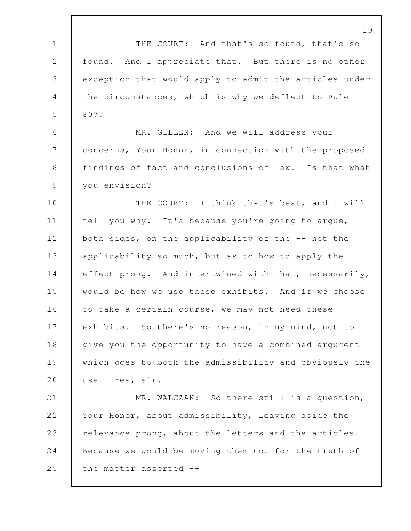19 1 THE COURT: And that's so found, that's so 2 found. And I appreciate that. But there is no other 3 exception that would apply to admit the articles under 4 the circumstances, which is why we deflect to Rule 5 807. 6 MR. GILLEN: And we will address your 7 concerns, Your Honor, in connection with the proposed 8 | findings of fact and conclusions of law. Is that what 9 you envision? 10 THE COURT: I think that's best, and I will 11 tell you why. It's because you're going to argue, 12 both sides, on the applicability of the -- not the 13 applicability so much, but as to how to apply the 14 effect prong. And intertwined with that, necessarily, 15 would be how we use these exhibits. And if we choose 16 to take a certain course, we may not need these 17 exhibits. So there's no reason, in my mind, not to 18 give you the opportunity to have a combined argument 19 which goes to both the admissibility and obviously the 20 use. Yes, sir. 21 MR. WALCZAK: So there still is a question, 22 Your Honor, about admissibility, leaving aside the 23 relevance prong, about the letters and the articles. 24 Because we would be moving them not for the truth of 25 the matter asserted --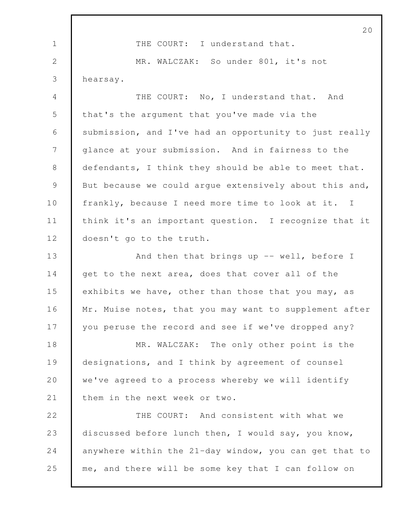|                | 20                                                     |
|----------------|--------------------------------------------------------|
| $\mathbf 1$    | THE COURT: I understand that.                          |
| 2              | MR. WALCZAK: So under 801, it's not                    |
| 3              | hearsay.                                               |
| 4              | THE COURT: No, I understand that. And                  |
| 5              | that's the argument that you've made via the           |
| 6              | submission, and I've had an opportunity to just really |
| $\overline{7}$ | glance at your submission. And in fairness to the      |
| 8              | defendants, I think they should be able to meet that.  |
| $\mathcal{G}$  | But because we could argue extensively about this and, |
| 10             | frankly, because I need more time to look at it. I     |
| 11             | think it's an important question. I recognize that it  |
| 12             | doesn't go to the truth.                               |
| 13             | And then that brings up $--$ well, before I            |
| 14             | get to the next area, does that cover all of the       |
| 15             | exhibits we have, other than those that you may, as    |
| 16             | Mr. Muise notes, that you may want to supplement after |
| 17             | you peruse the record and see if we've dropped any?    |
| 18             | MR. WALCZAK: The only other point is the               |
| 19             | designations, and I think by agreement of counsel      |
| 20             | we've agreed to a process whereby we will identify     |
| 21             | them in the next week or two.                          |
| 22             | THE COURT: And consistent with what we                 |
| 23             | discussed before lunch then, I would say, you know,    |
| 24             | anywhere within the 21-day window, you can get that to |
| 25             | me, and there will be some key that I can follow on    |
|                |                                                        |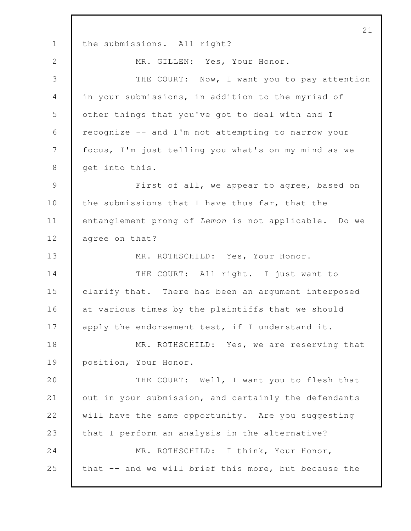21 1 the submissions. All right? 2 MR. GILLEN: Yes, Your Honor. 3 THE COURT: Now, I want you to pay attention 4 in your submissions, in addition to the myriad of 5 other things that you've got to deal with and I 6 recognize -- and I'm not attempting to narrow your 7 focus, I'm just telling you what's on my mind as we 8 get into this. 9 First of all, we appear to agree, based on 10 the submissions that I have thus far, that the 11 entanglement prong of *Lemon* is not applicable. Do we 12 agree on that? 13 MR. ROTHSCHILD: Yes, Your Honor. 14 THE COURT: All right. I just want to 15 clarify that. There has been an argument interposed 16 at various times by the plaintiffs that we should 17 apply the endorsement test, if I understand it. 18 MR. ROTHSCHILD: Yes, we are reserving that 19 position, Your Honor. 20 THE COURT: Well, I want you to flesh that 21 out in your submission, and certainly the defendants 22 will have the same opportunity. Are you suggesting 23 that I perform an analysis in the alternative? 24 MR. ROTHSCHILD: I think, Your Honor, 25 that -- and we will brief this more, but because the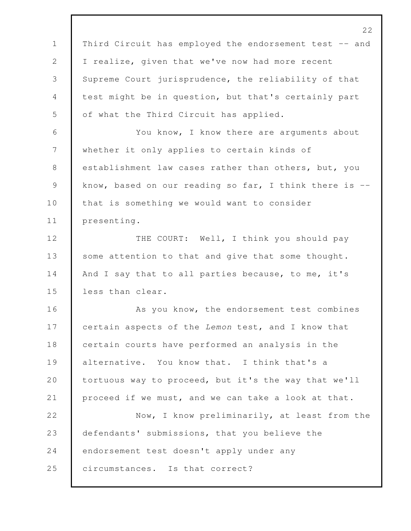22 1 | Third Circuit has employed the endorsement test -- and 2 I realize, given that we've now had more recent 3 Supreme Court jurisprudence, the reliability of that 4 test might be in question, but that's certainly part 5 of what the Third Circuit has applied. 6 You know, I know there are arguments about 7 whether it only applies to certain kinds of 8 | establishment law cases rather than others, but, you 9 know, based on our reading so far, I think there is --10 | that is something we would want to consider 11 presenting. 12 THE COURT: Well, I think you should pay 13 some attention to that and give that some thought. 14 And I say that to all parties because, to me, it's 15 less than clear. 16 As you know, the endorsement test combines 17 certain aspects of the *Lemon* test, and I know that 18 certain courts have performed an analysis in the 19 alternative. You know that. I think that's a 20 tortuous way to proceed, but it's the way that we'll 21 proceed if we must, and we can take a look at that. 22 Now, I know preliminarily, at least from the 23 defendants' submissions, that you believe the 24 endorsement test doesn't apply under any 25 circumstances. Is that correct?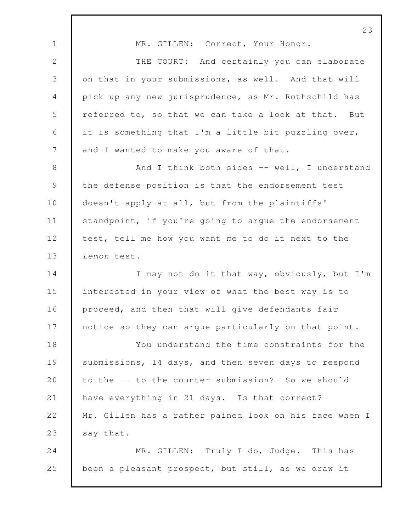23 1 MR. GILLEN: Correct, Your Honor. 2 THE COURT: And certainly you can elaborate 3 on that in your submissions, as well. And that will 4 pick up any new jurisprudence, as Mr. Rothschild has 5 referred to, so that we can take a look at that. But 6 it is something that I'm a little bit puzzling over, 7 and I wanted to make you aware of that. 8 And I think both sides -- well, I understand 9 the defense position is that the endorsement test 10 doesn't apply at all, but from the plaintiffs' 11 Standpoint, if you're going to argue the endorsement 12 test, tell me how you want me to do it next to the 13 *Lemon* test. 14 I may not do it that way, obviously, but I'm 15 interested in your view of what the best way is to 16 proceed, and then that will give defendants fair 17 notice so they can argue particularly on that point. 18 You understand the time constraints for the 19 Submissions, 14 days, and then seven days to respond 20 to the -- to the counter-submission? So we should 21 have everything in 21 days. Is that correct? 22 Mr. Gillen has a rather pained look on his face when I 23 say that. 24 MR. GILLEN: Truly I do, Judge. This has 25 been a pleasant prospect, but still, as we draw it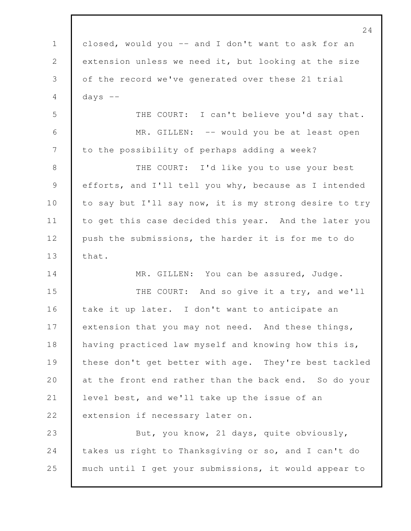24 1 closed, would you -- and I don't want to ask for an 2 extension unless we need it, but looking at the size 3 of the record we've generated over these 21 trial  $4$  days  $-$ 5 THE COURT: I can't believe you'd say that. 6 MR. GILLEN: -- would you be at least open 7 to the possibility of perhaps adding a week? 8 THE COURT: I'd like you to use your best 9 efforts, and I'll tell you why, because as I intended 10 to say but I'll say now, it is my strong desire to try 11 to get this case decided this year. And the later you 12 | push the submissions, the harder it is for me to do 13 that. 14 MR. GILLEN: You can be assured, Judge. 15 THE COURT: And so give it a try, and we'll 16 take it up later. I don't want to anticipate an 17 extension that you may not need. And these things, 18 having practiced law myself and knowing how this is, 19 these don't get better with age. They're best tackled 20 at the front end rather than the back end. So do your 21 level best, and we'll take up the issue of an 22 extension if necessary later on. 23 But, you know, 21 days, quite obviously, 24 takes us right to Thanksgiving or so, and I can't do 25 much until I get your submissions, it would appear to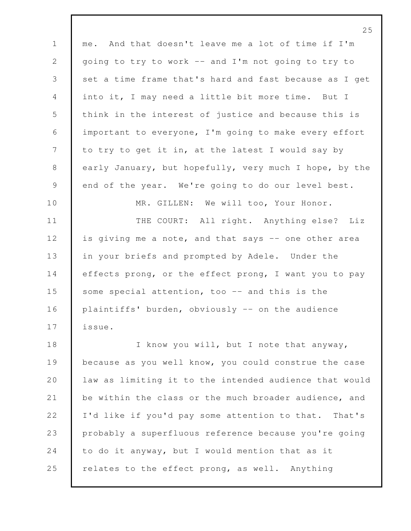|                | $\angle$ 5                                             |
|----------------|--------------------------------------------------------|
| $\mathbf{1}$   | me. And that doesn't leave me a lot of time if I'm     |
| 2              | going to try to work -- and I'm not going to try to    |
| $\mathcal{S}$  | set a time frame that's hard and fast because as I get |
| 4              | into it, I may need a little bit more time. But I      |
| 5              | think in the interest of justice and because this is   |
| 6              | important to everyone, I'm going to make every effort  |
| $\overline{7}$ | to try to get it in, at the latest I would say by      |
| $8\,$          | early January, but hopefully, very much I hope, by the |
| $\mathsf 9$    | end of the year. We're going to do our level best.     |
| 10             | MR. GILLEN: We will too, Your Honor.                   |
| 11             | THE COURT: All right. Anything else? Liz               |
| 12             | is giving me a note, and that says -- one other area   |
| 13             | in your briefs and prompted by Adele. Under the        |
| 14             | effects prong, or the effect prong, I want you to pay  |
| 15             | some special attention, too -- and this is the         |
| 16             | plaintiffs' burden, obviously -- on the audience       |
| 17             | issue.                                                 |
| 18             | I know you will, but I note that anyway,               |
| 19             | because as you well know, you could construe the case  |
| 20             | law as limiting it to the intended audience that would |
| 21             | be within the class or the much broader audience, and  |
| 22             | I'd like if you'd pay some attention to that. That's   |
| 23             | probably a superfluous reference because you're going  |
| 24             | to do it anyway, but I would mention that as it        |
| 25             | relates to the effect prong, as well. Anything         |

 $\sim$   $\sim$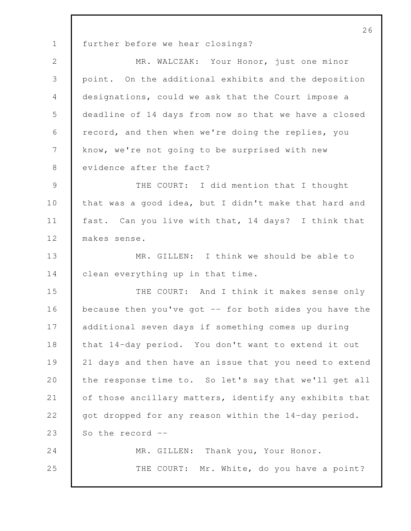26 1 further before we hear closings? 2 MR. WALCZAK: Your Honor, just one minor 3 point. On the additional exhibits and the deposition 4 designations, could we ask that the Court impose a 5 deadline of 14 days from now so that we have a closed 6 record, and then when we're doing the replies, you 7 know, we're not going to be surprised with new 8 evidence after the fact? 9 THE COURT: I did mention that I thought 10 that was a good idea, but I didn't make that hard and 11 fast. Can you live with that, 14 days? I think that 12 makes sense. 13 MR. GILLEN: I think we should be able to 14 clean everything up in that time. 15 THE COURT: And I think it makes sense only 16 because then you've got -- for both sides you have the 17 additional seven days if something comes up during 18 that 14-day period. You don't want to extend it out 19 21 days and then have an issue that you need to extend 20 the response time to. So let's say that we'll get all 21 of those ancillary matters, identify any exhibits that 22 got dropped for any reason within the 14-day period. 23  $\parallel$  So the record  $\parallel$ -24 MR. GILLEN: Thank you, Your Honor. 25 THE COURT: Mr. White, do you have a point?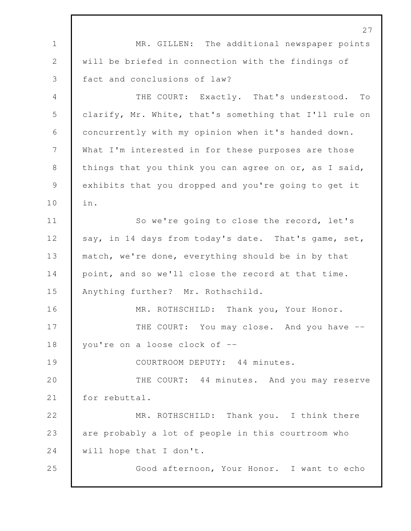27 1 MR. GILLEN: The additional newspaper points 2 will be briefed in connection with the findings of 3 fact and conclusions of law? 4 THE COURT: Exactly. That's understood. To 5 clarify, Mr. White, that's something that I'll rule on 6 concurrently with my opinion when it's handed down. 7 What I'm interested in for these purposes are those 8 things that you think you can agree on or, as I said, 9 exhibits that you dropped and you're going to get it 10 in. 11 So we're going to close the record, let's 12 say, in 14 days from today's date. That's game, set, 13 match, we're done, everything should be in by that 14 point, and so we'll close the record at that time. 15 Anything further? Mr. Rothschild. 16 MR. ROTHSCHILD: Thank you, Your Honor. 17 THE COURT: You may close. And you have --18 vou're on a loose clock of --19 COURTROOM DEPUTY: 44 minutes. 20 THE COURT: 44 minutes. And you may reserve 21 | for rebuttal. 22 MR. ROTHSCHILD: Thank you. I think there 23 are probably a lot of people in this courtroom who 24 Will hope that I don't. 25 Good afternoon, Your Honor. I want to echo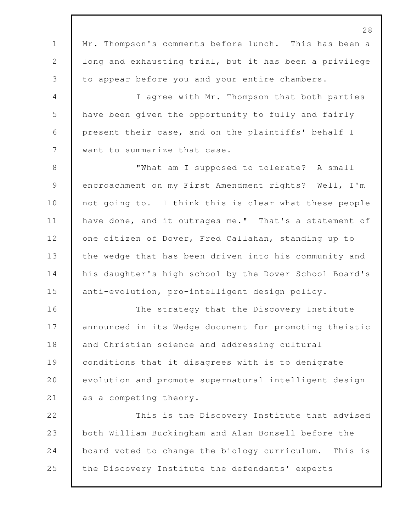28 1 Mr. Thompson's comments before lunch. This has been a 2 | long and exhausting trial, but it has been a privilege 3 to appear before you and your entire chambers. 4 I agree with Mr. Thompson that both parties 5 have been given the opportunity to fully and fairly 6 present their case, and on the plaintiffs' behalf I 7 want to summarize that case. 8 | What am I supposed to tolerate? A small 9 encroachment on my First Amendment rights? Well, I'm 10 not going to. I think this is clear what these people 11 have done, and it outrages me." That's a statement of 12 one citizen of Dover, Fred Callahan, standing up to 13 the wedge that has been driven into his community and 14 his daughter's high school by the Dover School Board's 15 anti-evolution, pro-intelligent design policy. 16 The strategy that the Discovery Institute 17 announced in its Wedge document for promoting theistic 18 and Christian science and addressing cultural 19 conditions that it disagrees with is to denigrate 20 evolution and promote supernatural intelligent design 21 as a competing theory. 22 This is the Discovery Institute that advised 23 both William Buckingham and Alan Bonsell before the 24 board voted to change the biology curriculum. This is 25 the Discovery Institute the defendants' experts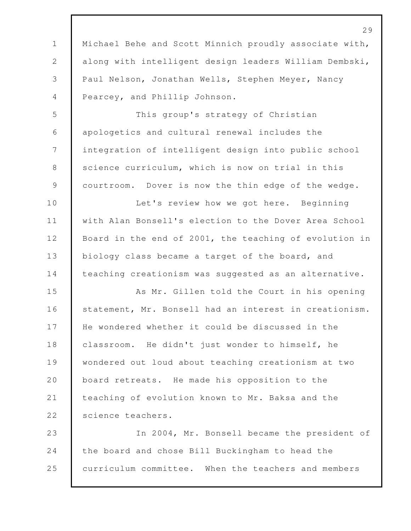1 | Michael Behe and Scott Minnich proudly associate with, along with intelligent design leaders William Dembski, Paul Nelson, Jonathan Wells, Stephen Meyer, Nancy Pearcey, and Phillip Johnson. This group's strategy of Christian apologetics and cultural renewal includes the integration of intelligent design into public school 8 science curriculum, which is now on trial in this 9 | courtroom. Dover is now the thin edge of the wedge. 10 Let's review how we got here. Beginning with Alan Bonsell's election to the Dover Area School Board in the end of 2001, the teaching of evolution in 13 biology class became a target of the board, and 14 teaching creationism was suggested as an alternative. As Mr. Gillen told the Court in his opening 16 statement, Mr. Bonsell had an interest in creationism. He wondered whether it could be discussed in the **classroom.** He didn't just wonder to himself, he wondered out loud about teaching creationism at two 20 board retreats. He made his opposition to the teaching of evolution known to Mr. Baksa and the 22 science teachers. In 2004, Mr. Bonsell became the president of the board and chose Bill Buckingham to head the curriculum committee. When the teachers and members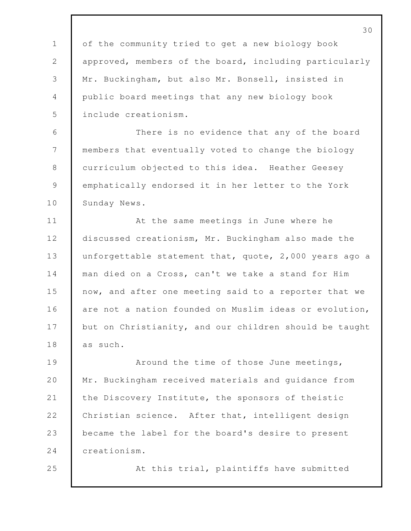of the community tried to get a new biology book approved, members of the board, including particularly Mr. Buckingham, but also Mr. Bonsell, insisted in public board meetings that any new biology book include creationism.

 There is no evidence that any of the board members that eventually voted to change the biology 8 curriculum objected to this idea. Heather Geesey emphatically endorsed it in her letter to the York 10 Sunday News.

 At the same meetings in June where he 12 discussed creationism, Mr. Buckingham also made the 13 unforgettable statement that, quote, 2,000 years ago a man died on a Cross, can't we take a stand for Him now, and after one meeting said to a reporter that we 16 are not a nation founded on Muslim ideas or evolution, 17 but on Christianity, and our children should be taught 18 as such.

**Around the time of those June meetings,**  Mr. Buckingham received materials and guidance from 21 the Discovery Institute, the sponsors of theistic 22 Christian science. After that, intelligent design became the label for the board's desire to present creationism.

At this trial, plaintiffs have submitted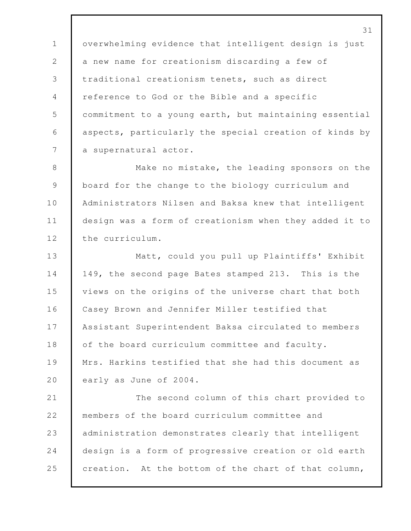overwhelming evidence that intelligent design is just 2 a new name for creationism discarding a few of traditional creationism tenets, such as direct reference to God or the Bible and a specific commitment to a young earth, but maintaining essential aspects, particularly the special creation of kinds by 7 a supernatural actor.

8 Make no mistake, the leading sponsors on the 9 | board for the change to the biology curriculum and 10 Administrators Nilsen and Baksa knew that intelligent 11 design was a form of creationism when they added it to 12 the curriculum.

 Matt, could you pull up Plaintiffs' Exhibit 149, the second page Bates stamped 213. This is the views on the origins of the universe chart that both Casey Brown and Jennifer Miller testified that Assistant Superintendent Baksa circulated to members 18 of the board curriculum committee and faculty. 19 Mrs. Harkins testified that she had this document as 20 early as June of 2004.

21 The second column of this chart provided to 22 members of the board curriculum committee and 23 administration demonstrates clearly that intelligent 24 design is a form of progressive creation or old earth 25 creation. At the bottom of the chart of that column,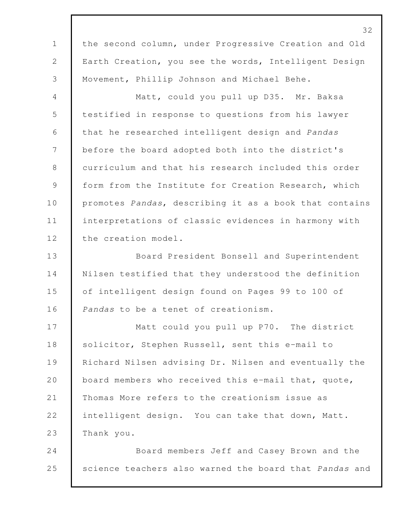the second column, under Progressive Creation and Old Earth Creation, you see the words, Intelligent Design Movement, Phillip Johnson and Michael Behe. Matt, could you pull up D35. Mr. Baksa testified in response to questions from his lawyer that he researched intelligent design and *Pandas* before the board adopted both into the district's curriculum and that his research included this order form from the Institute for Creation Research, which promotes *Pandas*, describing it as a book that contains interpretations of classic evidences in harmony with 12 the creation model. Board President Bonsell and Superintendent Nilsen testified that they understood the definition of intelligent design found on Pages 99 to 100 of *Pandas* to be a tenet of creationism. 17 Matt could you pull up P70. The district 18 Solicitor, Stephen Russell, sent this e-mail to Richard Nilsen advising Dr. Nilsen and eventually the 20 board members who received this e-mail that, quote, Thomas More refers to the creationism issue as intelligent design. You can take that down, Matt. Thank you. Board members Jeff and Casey Brown and the science teachers also warned the board that *Pandas* and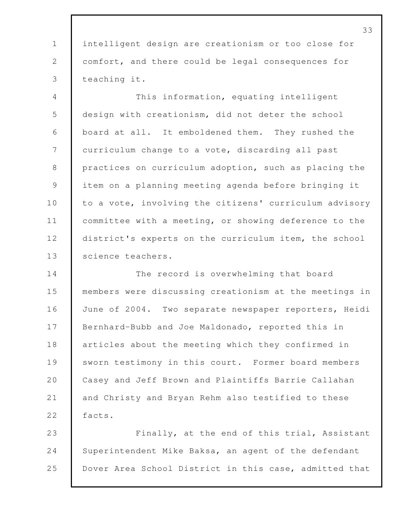intelligent design are creationism or too close for comfort, and there could be legal consequences for teaching it. This information, equating intelligent design with creationism, did not deter the school board at all. It emboldened them. They rushed the curriculum change to a vote, discarding all past 8 practices on curriculum adoption, such as placing the item on a planning meeting agenda before bringing it 10 to a vote, involving the citizens' curriculum advisory committee with a meeting, or showing deference to the 12 district's experts on the curriculum item, the school 13 | science teachers. The record is overwhelming that board members were discussing creationism at the meetings in 16 June of 2004. Two separate newspaper reporters, Heidi Bernhard-Bubb and Joe Maldonado, reported this in articles about the meeting which they confirmed in 19 Sworn testimony in this court. Former board members 20 | Casey and Jeff Brown and Plaintiffs Barrie Callahan and Christy and Bryan Rehm also testified to these 22 | facts. Finally, at the end of this trial, Assistant Superintendent Mike Baksa, an agent of the defendant Dover Area School District in this case, admitted that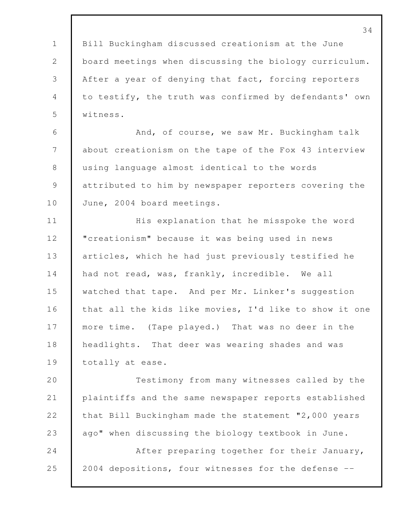Bill Buckingham discussed creationism at the June board meetings when discussing the biology curriculum. After a year of denying that fact, forcing reporters to testify, the truth was confirmed by defendants' own witness.

6 And, of course, we saw Mr. Buckingham talk about creationism on the tape of the Fox 43 interview using language almost identical to the words attributed to him by newspaper reporters covering the 10 June, 2004 board meetings.

11 His explanation that he misspoke the word **Weighter I** creationism" because it was being used in news 13 articles, which he had just previously testified he 14 had not read, was, frankly, incredible. We all 15 | watched that tape. And per Mr. Linker's suggestion 16 that all the kids like movies, I'd like to show it one 17 more time. (Tape played.) That was no deer in the headlights. That deer was wearing shades and was 19 totally at ease.

 Testimony from many witnesses called by the plaintiffs and the same newspaper reports established that Bill Buckingham made the statement "2,000 years ago" when discussing the biology textbook in June. After preparing together for their January, 25 2004 depositions, four witnesses for the defense --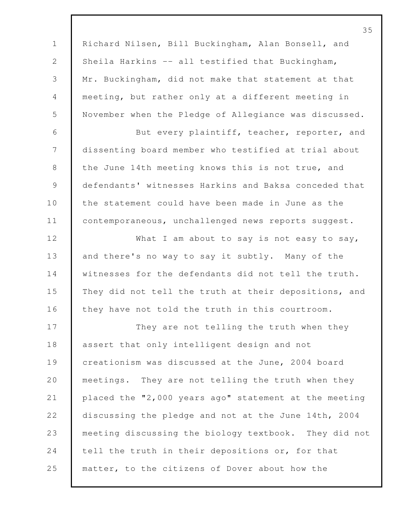35 1 Richard Nilsen, Bill Buckingham, Alan Bonsell, and 2 | Sheila Harkins -- all testified that Buckingham, 3 Mr. Buckingham, did not make that statement at that 4 meeting, but rather only at a different meeting in 5 November when the Pledge of Allegiance was discussed. 6 But every plaintiff, teacher, reporter, and 7 dissenting board member who testified at trial about 8 the June 14th meeting knows this is not true, and 9 defendants' witnesses Harkins and Baksa conceded that 10 the statement could have been made in June as the 11 | contemporaneous, unchallenged news reports suggest. 12 What I am about to say is not easy to say, 13 and there's no way to say it subtly. Many of the 14 witnesses for the defendants did not tell the truth. 15 They did not tell the truth at their depositions, and 16 they have not told the truth in this courtroom. 17 They are not telling the truth when they 18 assert that only intelligent design and not 19 creationism was discussed at the June, 2004 board 20 **meetings.** They are not telling the truth when they 21 placed the "2,000 years ago" statement at the meeting 22 discussing the pledge and not at the June 14th, 2004 23 meeting discussing the biology textbook. They did not 24 tell the truth in their depositions or, for that 25 matter, to the citizens of Dover about how the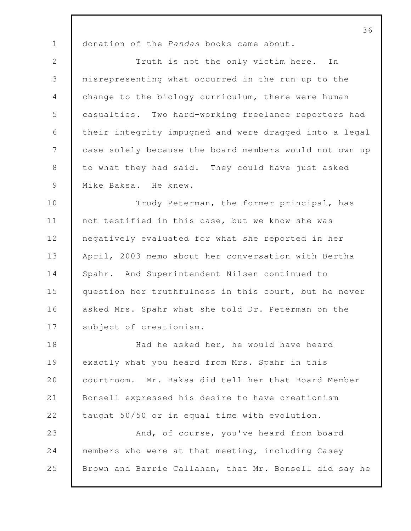donation of the *Pandas* books came about.

2 Truth is not the only victim here. In misrepresenting what occurred in the run-up to the change to the biology curriculum, there were human casualties. Two hard-working freelance reporters had their integrity impugned and were dragged into a legal case solely because the board members would not own up 8 to what they had said. They could have just asked 9 Mike Baksa. He knew.

10 Trudy Peterman, the former principal, has not testified in this case, but we know she was negatively evaluated for what she reported in her April, 2003 memo about her conversation with Bertha Spahr. And Superintendent Nilsen continued to question her truthfulness in this court, but he never asked Mrs. Spahr what she told Dr. Peterman on the 17 subject of creationism.

 Had he asked her, he would have heard exactly what you heard from Mrs. Spahr in this courtroom. Mr. Baksa did tell her that Board Member Bonsell expressed his desire to have creationism taught 50/50 or in equal time with evolution. And, of course, you've heard from board members who were at that meeting, including Casey Brown and Barrie Callahan, that Mr. Bonsell did say he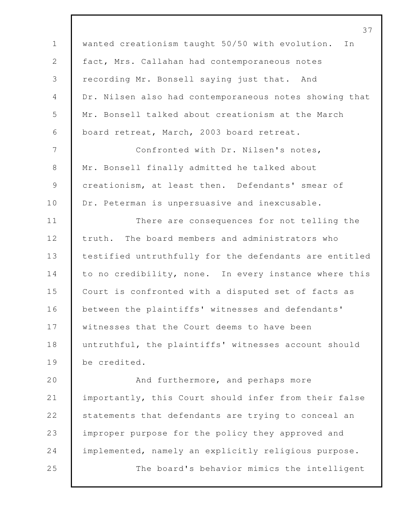wanted creationism taught 50/50 with evolution. In fact, Mrs. Callahan had contemporaneous notes recording Mr. Bonsell saying just that. And Dr. Nilsen also had contemporaneous notes showing that Mr. Bonsell talked about creationism at the March board retreat, March, 2003 board retreat. Confronted with Dr. Nilsen's notes, Mr. Bonsell finally admitted he talked about creationism, at least then. Defendants' smear of 10 Dr. Peterman is unpersuasive and inexcusable. 11 There are consequences for not telling the truth. The board members and administrators who testified untruthfully for the defendants are entitled 14 to no credibility, none. In every instance where this Court is confronted with a disputed set of facts as between the plaintiffs' witnesses and defendants' 17 witnesses that the Court deems to have been 18 untruthful, the plaintiffs' witnesses account should be credited. And furthermore, and perhaps more importantly, this Court should infer from their false 22 Statements that defendants are trying to conceal an improper purpose for the policy they approved and implemented, namely an explicitly religious purpose. The board's behavior mimics the intelligent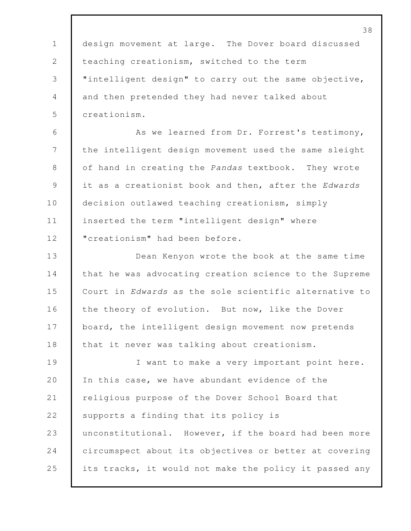38 1 design movement at large. The Dover board discussed 2 teaching creationism, switched to the term 3 "intelligent design" to carry out the same objective, 4 and then pretended they had never talked about 5 creationism. 6 As we learned from Dr. Forrest's testimony, 7 the intelligent design movement used the same sleight 8 of hand in creating the *Pandas* textbook. They wrote 9 it as a creationist book and then, after the *Edwards* 10 decision outlawed teaching creationism, simply 11 inserted the term "intelligent design" where 12 | "creationism" had been before. 13 Dean Kenyon wrote the book at the same time 14 that he was advocating creation science to the Supreme 15 Court in *Edwards* as the sole scientific alternative to 16 the theory of evolution. But now, like the Dover 17 board, the intelligent design movement now pretends 18 that it never was talking about creationism. 19 I want to make a very important point here. 20 In this case, we have abundant evidence of the 21 religious purpose of the Dover School Board that 22 Supports a finding that its policy is 23 unconstitutional. However, if the board had been more 24 circumspect about its objectives or better at covering 25 its tracks, it would not make the policy it passed any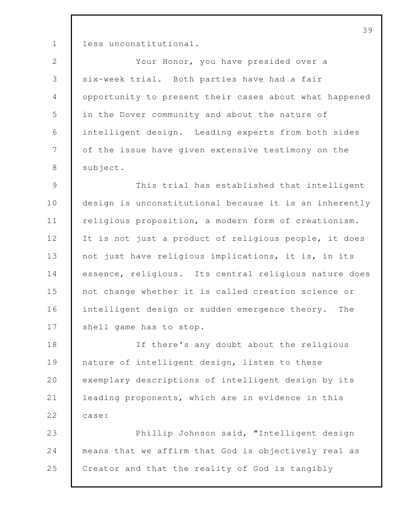1 less unconstitutional.

 Your Honor, you have presided over a six-week trial. Both parties have had a fair opportunity to present their cases about what happened in the Dover community and about the nature of intelligent design. Leading experts from both sides 7 of the issue have given extensive testimony on the 8 | subject.

9 This trial has established that intelligent 10 design is unconstitutional because it is an inherently 11 religious proposition, a modern form of creationism. 12 It is not just a product of religious people, it does 13 not just have religious implications, it is, in its 14 essence, religious. Its central religious nature does 15 not change whether it is called creation science or 16 intelligent design or sudden emergence theory. The 17 shell game has to stop.

18 If there's any doubt about the religious 19 nature of intelligent design, listen to these 20 exemplary descriptions of intelligent design by its 21 leading proponents, which are in evidence in this 22 **case:** 

23 Phillip Johnson said, "Intelligent design 24 means that we affirm that God is objectively real as 25 Creator and that the reality of God is tangibly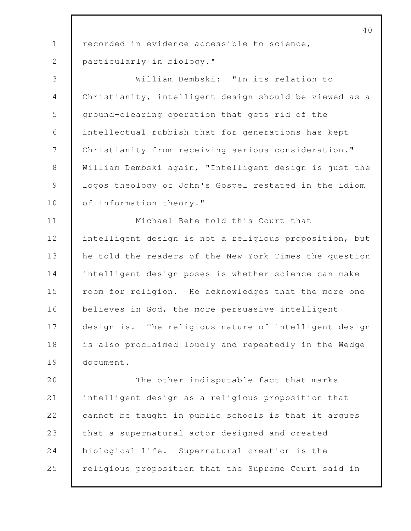recorded in evidence accessible to science, particularly in biology." William Dembski: "In its relation to Christianity, intelligent design should be viewed as a ground-clearing operation that gets rid of the intellectual rubbish that for generations has kept Christianity from receiving serious consideration." William Dembski again, "Intelligent design is just the 9 | logos theology of John's Gospel restated in the idiom 10 of information theory." Michael Behe told this Court that intelligent design is not a religious proposition, but 13 he told the readers of the New York Times the question intelligent design poses is whether science can make 15 room for religion. He acknowledges that the more one believes in God, the more persuasive intelligent design is. The religious nature of intelligent design is also proclaimed loudly and repeatedly in the Wedge document. 20 The other indisputable fact that marks intelligent design as a religious proposition that 22 cannot be taught in public schools is that it argues 23 that a supernatural actor designed and created biological life. Supernatural creation is the religious proposition that the Supreme Court said in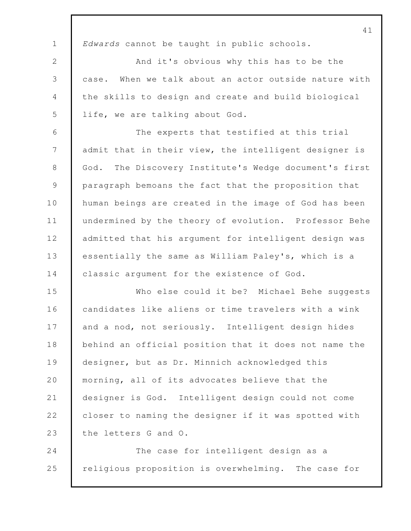41 1 *Edwards* cannot be taught in public schools. 2 And it's obvious why this has to be the 3 case. When we talk about an actor outside nature with 4 the skills to design and create and build biological 5 life, we are talking about God. 6 The experts that testified at this trial 7 admit that in their view, the intelligent designer is 8 God. The Discovery Institute's Wedge document's first 9 paragraph bemoans the fact that the proposition that 10 human beings are created in the image of God has been 11 undermined by the theory of evolution. Professor Behe 12 admitted that his argument for intelligent design was 13 essentially the same as William Paley's, which is a 14 classic argument for the existence of God. 15 Who else could it be? Michael Behe suggests 16 candidates like aliens or time travelers with a wink 17 and a nod, not seriously. Intelligent design hides 18 behind an official position that it does not name the 19 designer, but as Dr. Minnich acknowledged this 20 morning, all of its advocates believe that the 21 designer is God. Intelligent design could not come 22 **closer to naming the designer if it was spotted with** 23 the letters G and O. 24 The case for intelligent design as a 25 religious proposition is overwhelming. The case for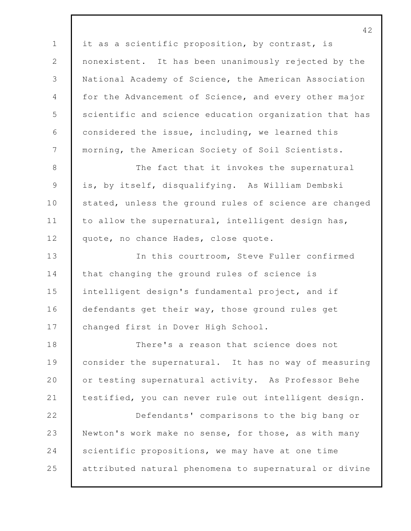42 1 it as a scientific proposition, by contrast, is 2 nonexistent. It has been unanimously rejected by the 3 National Academy of Science, the American Association 4 for the Advancement of Science, and every other major 5 scientific and science education organization that has 6 considered the issue, including, we learned this 7 | morning, the American Society of Soil Scientists. 8 The fact that it invokes the supernatural 9 is, by itself, disqualifying. As William Dembski 10 stated, unless the ground rules of science are changed 11 to allow the supernatural, intelligent design has, 12 quote, no chance Hades, close quote. 13 In this courtroom, Steve Fuller confirmed 14 that changing the ground rules of science is 15 intelligent design's fundamental project, and if 16 defendants get their way, those ground rules get 17 changed first in Dover High School. 18 There's a reason that science does not 19 consider the supernatural. It has no way of measuring 20 or testing supernatural activity. As Professor Behe 21 testified, you can never rule out intelligent design. 22 Defendants' comparisons to the big bang or 23 Newton's work make no sense, for those, as with many 24 Scientific propositions, we may have at one time 25 attributed natural phenomena to supernatural or divine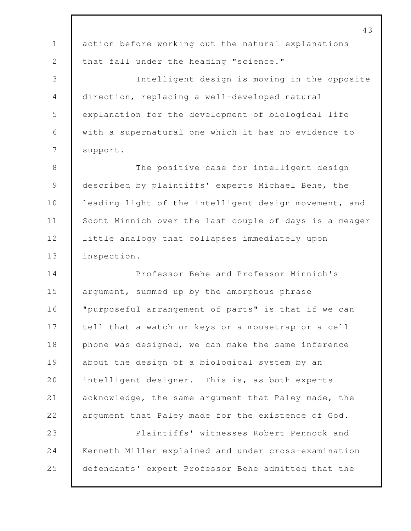|                | 43                                                     |
|----------------|--------------------------------------------------------|
| $\mathbf 1$    | action before working out the natural explanations     |
| $\mathbf{2}$   | that fall under the heading "science."                 |
| 3              | Intelligent design is moving in the opposite           |
| $\overline{4}$ | direction, replacing a well-developed natural          |
| 5              | explanation for the development of biological life     |
| 6              | with a supernatural one which it has no evidence to    |
| 7              | support.                                               |
| 8              | The positive case for intelligent design               |
| $\mathsf 9$    | described by plaintiffs' experts Michael Behe, the     |
| 10             | leading light of the intelligent design movement, and  |
| 11             | Scott Minnich over the last couple of days is a meager |
| 12             | little analogy that collapses immediately upon         |
| 13             | inspection.                                            |
| 14             | Professor Behe and Professor Minnich's                 |
| 15             | argument, summed up by the amorphous phrase            |
| 16             | "purposeful arrangement of parts" is that if we can    |
| 17             | tell that a watch or keys or a mousetrap or a cell     |
| 18             | phone was designed, we can make the same inference     |
| 19             | about the design of a biological system by an          |
| 20             | intelligent designer. This is, as both experts         |
| 21             | acknowledge, the same argument that Paley made, the    |
| 22             | argument that Paley made for the existence of God.     |
| 23             | Plaintiffs' witnesses Robert Pennock and               |
| 24             | Kenneth Miller explained and under cross-examination   |
| 25             | defendants' expert Professor Behe admitted that the    |
|                |                                                        |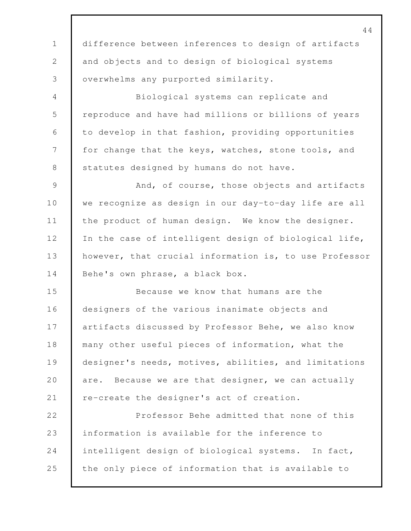44 1 difference between inferences to design of artifacts 2 and objects and to design of biological systems 3 overwhelms any purported similarity. 4 Biological systems can replicate and 5 reproduce and have had millions or billions of years 6 to develop in that fashion, providing opportunities 7 for change that the keys, watches, stone tools, and 8 statutes designed by humans do not have. 9 And, of course, those objects and artifacts 10 we recognize as design in our day-to-day life are all 11 the product of human design. We know the designer. 12 In the case of intelligent design of biological life, 13 however, that crucial information is, to use Professor 14 Behe's own phrase, a black box. 15 Because we know that humans are the 16 designers of the various inanimate objects and 17 artifacts discussed by Professor Behe, we also know 18 many other useful pieces of information, what the 19 designer's needs, motives, abilities, and limitations 20 are. Because we are that designer, we can actually 21 re-create the designer's act of creation. 22 **Professor Behe admitted that none of this** 23 information is available for the inference to 24 intelligent design of biological systems. In fact, 25 the only piece of information that is available to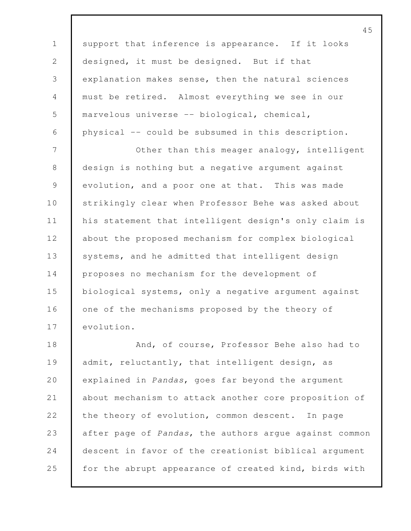45 1 support that inference is appearance. If it looks 2 designed, it must be designed. But if that 3 explanation makes sense, then the natural sciences 4 must be retired. Almost everything we see in our 5 marvelous universe -- biological, chemical, 6 physical -- could be subsumed in this description. 7 Other than this meager analogy, intelligent 8 design is nothing but a negative argument against 9 evolution, and a poor one at that. This was made 10 Strikingly clear when Professor Behe was asked about 11 his statement that intelligent design's only claim is 12 about the proposed mechanism for complex biological 13 systems, and he admitted that intelligent design 14 proposes no mechanism for the development of 15 biological systems, only a negative argument against 16 one of the mechanisms proposed by the theory of 17 evolution. 18 **And, of course, Professor Behe also had to** 19 admit, reluctantly, that intelligent design, as 20 explained in *Pandas*, goes far beyond the argument 21 about mechanism to attack another core proposition of 22 the theory of evolution, common descent. In page 23 after page of *Pandas*, the authors argue against common 24 descent in favor of the creationist biblical argument 25 for the abrupt appearance of created kind, birds with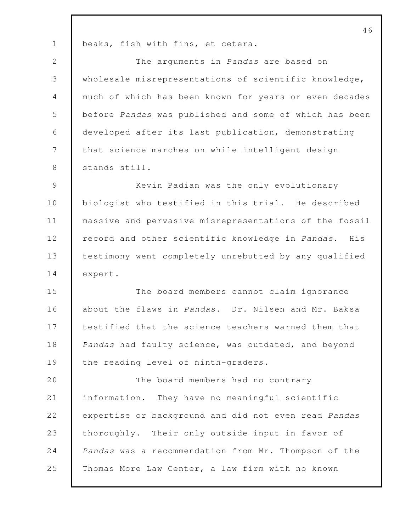1 | beaks, fish with fins, et cetera.

 The arguments in *Pandas* are based on wholesale misrepresentations of scientific knowledge, much of which has been known for years or even decades before *Pandas* was published and some of which has been developed after its last publication, demonstrating that science marches on while intelligent design 8 stands still.

 Kevin Padian was the only evolutionary 10 biologist who testified in this trial. He described massive and pervasive misrepresentations of the fossil record and other scientific knowledge in *Pandas*. His testimony went completely unrebutted by any qualified 14 expert.

 The board members cannot claim ignorance about the flaws in *Pandas*. Dr. Nilsen and Mr. Baksa testified that the science teachers warned them that *Pandas* had faulty science, was outdated, and beyond 19 the reading level of ninth-graders.

20 The board members had no contrary information. They have no meaningful scientific expertise or background and did not even read *Pandas* 23 thoroughly. Their only outside input in favor of *Pandas* was a recommendation from Mr. Thompson of the 25 Thomas More Law Center, a law firm with no known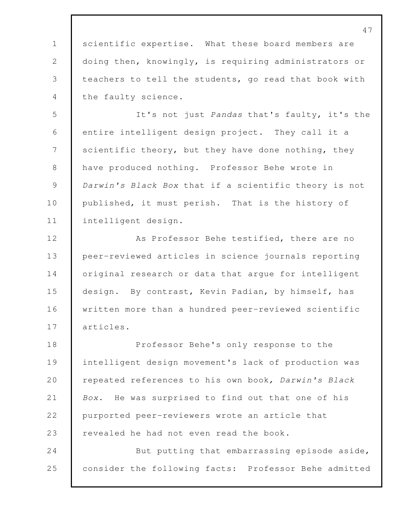1 scientific expertise. What these board members are 2 doing then, knowingly, is requiring administrators or teachers to tell the students, go read that book with the faulty science.

 It's not just *Pandas* that's faulty, it's the entire intelligent design project. They call it a 7 Scientific theory, but they have done nothing, they have produced nothing. Professor Behe wrote in *Darwin's Black Box* that if a scientific theory is not 10 published, it must perish. That is the history of intelligent design.

12 As Professor Behe testified, there are no peer-reviewed articles in science journals reporting 14 original research or data that arque for intelligent design. By contrast, Kevin Padian, by himself, has written more than a hundred peer-reviewed scientific articles.

 Professor Behe's only response to the intelligent design movement's lack of production was repeated references to his own book*, Darwin's Black Box*. He was surprised to find out that one of his purported peer-reviewers wrote an article that 23 evealed he had not even read the book. 24 But putting that embarrassing episode aside, consider the following facts: Professor Behe admitted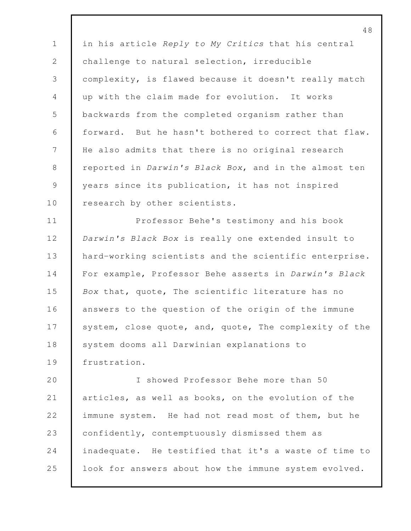in his article *Reply to My Critics* that his central 2 challenge to natural selection, irreducible complexity, is flawed because it doesn't really match up with the claim made for evolution. It works backwards from the completed organism rather than forward. But he hasn't bothered to correct that flaw. He also admits that there is no original research reported in *Darwin's Black Box*, and in the almost ten 9 vears since its publication, it has not inspired 10 research by other scientists.

 Professor Behe's testimony and his book *Darwin's Black Box* is really one extended insult to 13 hard-working scientists and the scientific enterprise. For example, Professor Behe asserts in *Darwin's Black Box* that, quote, The scientific literature has no 16 answers to the question of the origin of the immune 17 system, close quote, and, quote, The complexity of the 18 system dooms all Darwinian explanations to frustration.

 I showed Professor Behe more than 50 articles, as well as books, on the evolution of the 22 immune system. He had not read most of them, but he confidently, contemptuously dismissed them as inadequate. He testified that it's a waste of time to 25 look for answers about how the immune system evolved.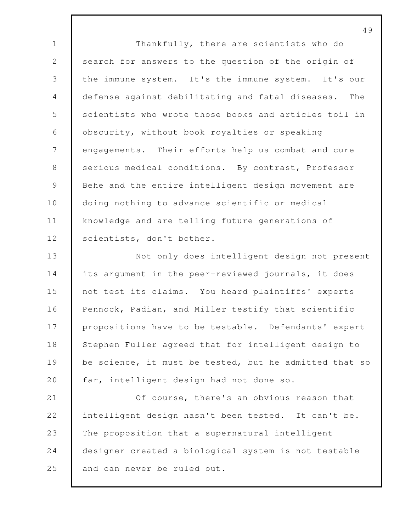49 1 Thankfully, there are scientists who do 2 search for answers to the question of the origin of 3 the immune system. It's the immune system. It's our 4 defense against debilitating and fatal diseases. The 5 scientists who wrote those books and articles toil in 6 obscurity, without book royalties or speaking 7 engagements. Their efforts help us combat and cure 8 serious medical conditions. By contrast, Professor 9 Behe and the entire intelligent design movement are 10 doing nothing to advance scientific or medical 11 knowledge and are telling future generations of 12 | scientists, don't bother. 13 Not only does intelligent design not present 14 its argument in the peer-reviewed journals, it does 15 not test its claims. You heard plaintiffs' experts 16 Pennock, Padian, and Miller testify that scientific 17 propositions have to be testable. Defendants' expert 18 Stephen Fuller agreed that for intelligent design to 19 be science, it must be tested, but he admitted that so 20 far, intelligent design had not done so. 21 **Of course, there's an obvious reason that** 22 intelligent design hasn't been tested. It can't be. 23 The proposition that a supernatural intelligent 24 designer created a biological system is not testable 25 and can never be ruled out.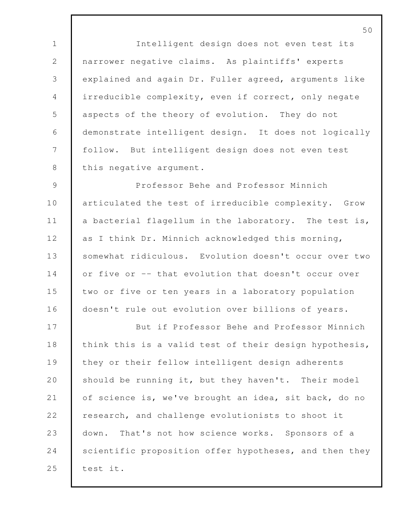Intelligent design does not even test its narrower negative claims. As plaintiffs' experts explained and again Dr. Fuller agreed, arguments like irreducible complexity, even if correct, only negate 5 aspects of the theory of evolution. They do not demonstrate intelligent design. It does not logically follow. But intelligent design does not even test 8 | this negative argument.

9 Professor Behe and Professor Minnich 10 articulated the test of irreducible complexity. Grow 11 a bacterial flagellum in the laboratory. The test is, 12 as I think Dr. Minnich acknowledged this morning, 13 somewhat ridiculous. Evolution doesn't occur over two 14 or five or -- that evolution that doesn't occur over 15 two or five or ten years in a laboratory population 16 doesn't rule out evolution over billions of years.

17 But if Professor Behe and Professor Minnich 18 think this is a valid test of their design hypothesis, 19 they or their fellow intelligent design adherents 20 should be running it, but they haven't. Their model 21 of science is, we've brought an idea, sit back, do no 22 research, and challenge evolutionists to shoot it 23 down. That's not how science works. Sponsors of a 24 scientific proposition offer hypotheses, and then they 25 test it.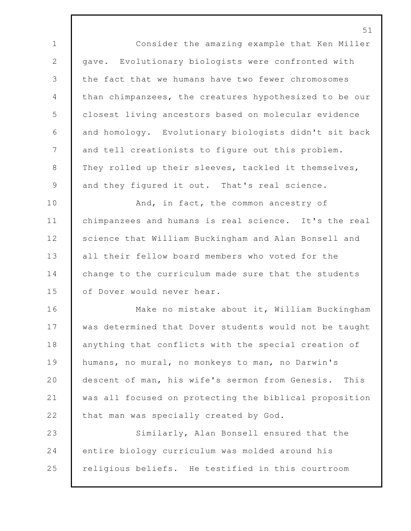Consider the amazing example that Ken Miller 2 | gave. Evolutionary biologists were confronted with the fact that we humans have two fewer chromosomes than chimpanzees, the creatures hypothesized to be our closest living ancestors based on molecular evidence and homology. Evolutionary biologists didn't sit back 7 and tell creationists to figure out this problem. 8 They rolled up their sleeves, tackled it themselves, 9 and they figured it out. That's real science. 10 And, in fact, the common ancestry of chimpanzees and humans is real science. It's the real 12 Science that William Buckingham and Alan Bonsell and all their fellow board members who voted for the 14 change to the curriculum made sure that the students 15 | of Dover would never hear. Make no mistake about it, William Buckingham was determined that Dover students would not be taught 18 anything that conflicts with the special creation of humans, no mural, no monkeys to man, no Darwin's descent of man, his wife's sermon from Genesis. This was all focused on protecting the biblical proposition 22 that man was specially created by God. Similarly, Alan Bonsell ensured that the entire biology curriculum was molded around his religious beliefs. He testified in this courtroom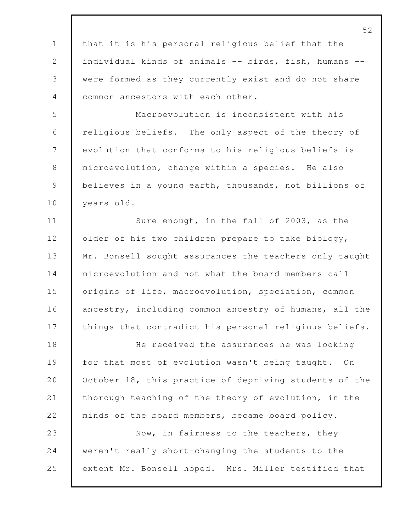|                 | 52                                                     |
|-----------------|--------------------------------------------------------|
| $\mathbf{1}$    | that it is his personal religious belief that the      |
| 2               | individual kinds of animals -- birds, fish, humans --  |
| 3               | were formed as they currently exist and do not share   |
| $\overline{4}$  | common ancestors with each other.                      |
| 5               | Macroevolution is inconsistent with his                |
| $\sqrt{6}$      | religious beliefs. The only aspect of the theory of    |
| $7\phantom{.0}$ | evolution that conforms to his religious beliefs is    |
| $8\,$           | microevolution, change within a species. He also       |
| $\mathcal{G}$   | believes in a young earth, thousands, not billions of  |
| 10              | years old.                                             |
| 11              | Sure enough, in the fall of 2003, as the               |
| 12              | older of his two children prepare to take biology,     |
| 13              | Mr. Bonsell sought assurances the teachers only taught |
| 14              | microevolution and not what the board members call     |
| 15              | origins of life, macroevolution, speciation, common    |
| 16              | ancestry, including common ancestry of humans, all the |
| 17              | things that contradict his personal religious beliefs. |
| 18              | He received the assurances he was looking              |
| 19              | for that most of evolution wasn't being taught. On     |
| 20              | October 18, this practice of depriving students of the |
| 21              | thorough teaching of the theory of evolution, in the   |
| 22              | minds of the board members, became board policy.       |
| 23              | Now, in fairness to the teachers, they                 |
| 24              | weren't really short-changing the students to the      |
| 25              | extent Mr. Bonsell hoped. Mrs. Miller testified that   |
|                 |                                                        |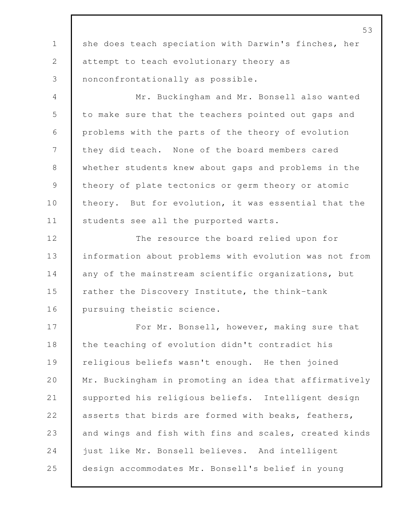|               | 53                                                     |
|---------------|--------------------------------------------------------|
| $\mathbf 1$   | she does teach speciation with Darwin's finches, her   |
| $\mathbf{2}$  | attempt to teach evolutionary theory as                |
| 3             | nonconfrontationally as possible.                      |
| 4             | Mr. Buckingham and Mr. Bonsell also wanted             |
| 5             | to make sure that the teachers pointed out gaps and    |
| 6             | problems with the parts of the theory of evolution     |
| 7             | they did teach. None of the board members cared        |
| $8\,$         | whether students knew about gaps and problems in the   |
| $\mathcal{G}$ | theory of plate tectonics or germ theory or atomic     |
| 10            | theory. But for evolution, it was essential that the   |
| 11            | students see all the purported warts.                  |
| 12            | The resource the board relied upon for                 |
| 13            | information about problems with evolution was not from |
| 14            | any of the mainstream scientific organizations, but    |
| 15            | rather the Discovery Institute, the think-tank         |
| 16            | pursuing theistic science.                             |
| 17            | For Mr. Bonsell, however, making sure that             |
| 18            | the teaching of evolution didn't contradict his        |
| 19            | religious beliefs wasn't enough. He then joined        |
| 20            | Mr. Buckingham in promoting an idea that affirmatively |
| 21            | supported his religious beliefs. Intelligent design    |
| 22            | asserts that birds are formed with beaks, feathers,    |
| 23            | and wings and fish with fins and scales, created kinds |
| 24            | just like Mr. Bonsell believes. And intelligent        |
| 25            | design accommodates Mr. Bonsell's belief in young      |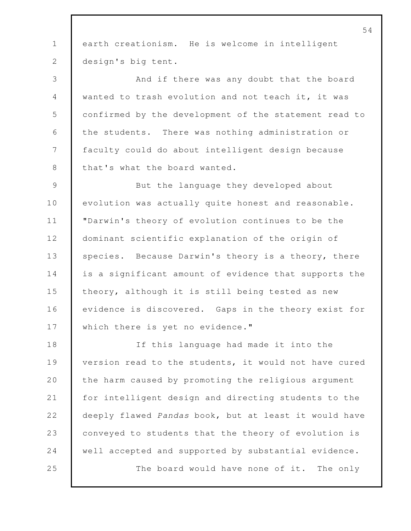1 earth creationism. He is welcome in intelligent 2 design's big tent. 3 And if there was any doubt that the board 4 wanted to trash evolution and not teach it, it was 5 confirmed by the development of the statement read to 6 | the students. There was nothing administration or 7 faculty could do about intelligent design because 8 that's what the board wanted. 9 But the language they developed about 10 evolution was actually quite honest and reasonable. 11 "Darwin's theory of evolution continues to be the 12 dominant scientific explanation of the origin of 13 species. Because Darwin's theory is a theory, there 14 is a significant amount of evidence that supports the 15 theory, although it is still being tested as new 16 evidence is discovered. Gaps in the theory exist for 17 Which there is yet no evidence." 18 If this language had made it into the 19 version read to the students, it would not have cured 20 the harm caused by promoting the religious argument 21 for intelligent design and directing students to the 22 deeply flawed *Pandas* book, but at least it would have 23 conveyed to students that the theory of evolution is 24 well accepted and supported by substantial evidence. 25 The board would have none of it. The only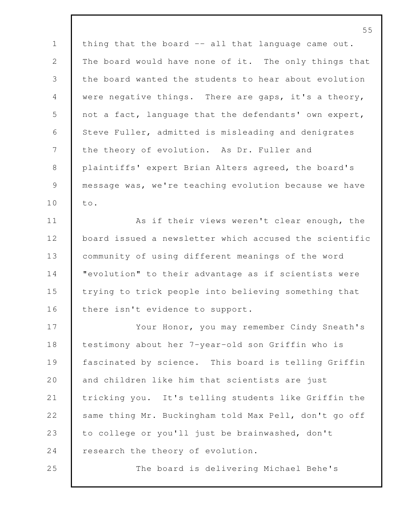1 | thing that the board -- all that language came out. The board would have none of it. The only things that the board wanted the students to hear about evolution were negative things. There are gaps, it's a theory, 5 not a fact, language that the defendants' own expert, Steve Fuller, admitted is misleading and denigrates 7 the theory of evolution. As Dr. Fuller and plaintiffs' expert Brian Alters agreed, the board's message was, we're teaching evolution because we have 10 | to.

11 As if their views weren't clear enough, the board issued a newsletter which accused the scientific community of using different meanings of the word "evolution" to their advantage as if scientists were trying to trick people into believing something that 16 | there isn't evidence to support.

 Your Honor, you may remember Cindy Sneath's testimony about her 7-year-old son Griffin who is fascinated by science. This board is telling Griffin 20 and children like him that scientists are just tricking you. It's telling students like Griffin the same thing Mr. Buckingham told Max Pell, don't go off 23 to college or you'll just be brainwashed, don't 24 research the theory of evolution.

The board is delivering Michael Behe's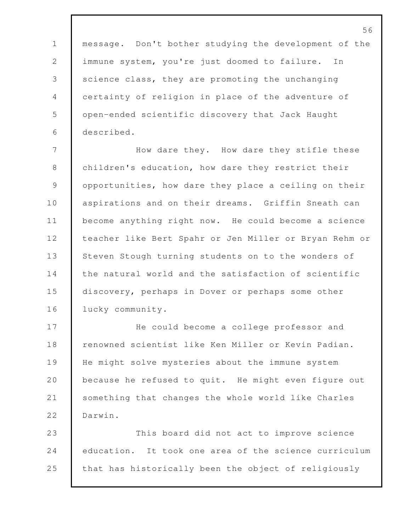message. Don't bother studying the development of the immune system, you're just doomed to failure. In 3 Science class, they are promoting the unchanging certainty of religion in place of the adventure of open-ended scientific discovery that Jack Haught described.

 How dare they. How dare they stifle these children's education, how dare they restrict their 9 | opportunities, how dare they place a ceiling on their 10 aspirations and on their dreams. Griffin Sneath can become anything right now. He could become a science teacher like Bert Spahr or Jen Miller or Bryan Rehm or 13 Steven Stough turning students on to the wonders of 14 the natural world and the satisfaction of scientific discovery, perhaps in Dover or perhaps some other 16 lucky community.

 He could become a college professor and **F** renowned scientist like Ken Miller or Kevin Padian. He might solve mysteries about the immune system 20 because he refused to quit. He might even figure out something that changes the whole world like Charles Darwin.

 This board did not act to improve science education. It took one area of the science curriculum 25 that has historically been the object of religiously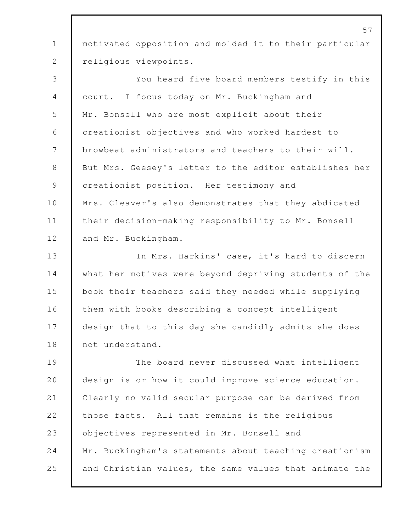1 motivated opposition and molded it to their particular 2 religious viewpoints.

3 You heard five board members testify in this 4 court. I focus today on Mr. Buckingham and 5 Mr. Bonsell who are most explicit about their 6 creationist objectives and who worked hardest to 7 browbeat administrators and teachers to their will. 8 But Mrs. Geesey's letter to the editor establishes her 9 creationist position. Her testimony and 10 Mrs. Cleaver's also demonstrates that they abdicated 11 their decision-making responsibility to Mr. Bonsell 12 and Mr. Buckingham. 13 In Mrs. Harkins' case, it's hard to discern 14 what her motives were beyond depriving students of the 15 book their teachers said they needed while supplying 16 them with books describing a concept intelligent 17 design that to this day she candidly admits she does

19 The board never discussed what intelligent 20 design is or how it could improve science education. 21 Clearly no valid secular purpose can be derived from 22 those facts. All that remains is the religious 23 objectives represented in Mr. Bonsell and 24 Mr. Buckingham's statements about teaching creationism 25 and Christian values, the same values that animate the

18 not understand.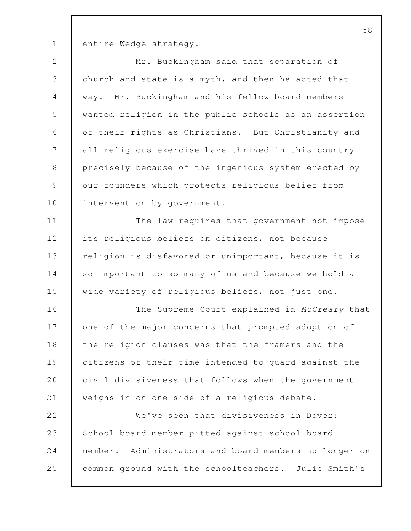1 entire Wedge strategy.

| $\mathbf{2}$  | Mr. Buckingham said that separation of                |
|---------------|-------------------------------------------------------|
| $\mathsf S$   | church and state is a myth, and then he acted that    |
| 4             | way. Mr. Buckingham and his fellow board members      |
| 5             | wanted religion in the public schools as an assertion |
| 6             | of their rights as Christians. But Christianity and   |
| 7             | all religious exercise have thrived in this country   |
| $\,8\,$       | precisely because of the ingenious system erected by  |
| $\mathcal{G}$ | our founders which protects religious belief from     |
| 10            | intervention by government.                           |
| 11            | The law requires that government not impose           |
| 12            | its religious beliefs on citizens, not because        |
| 13            | religion is disfavored or unimportant, because it is  |
| 14            | so important to so many of us and because we hold a   |
| 15            | wide variety of religious beliefs, not just one.      |
| 16            | The Supreme Court explained in McCreary that          |
| 17            | one of the major concerns that prompted adoption of   |
| 18            | the religion clauses was that the framers and the     |
| 19            | citizens of their time intended to guard against the  |
| 20            | civil divisiveness that follows when the government   |
| 21            | weighs in on one side of a religious debate.          |
| 22            | We've seen that divisiveness in Dover:                |
| 23            | School board member pitted against school board       |
| 24            | member. Administrators and board members no longer on |
| 25            | common ground with the schoolteachers. Julie Smith's  |
|               |                                                       |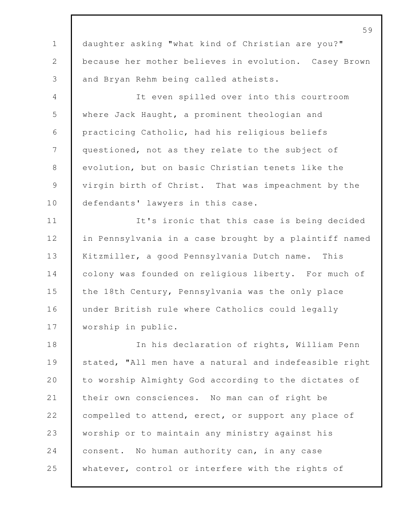daughter asking "what kind of Christian are you?" because her mother believes in evolution. Casey Brown and Bryan Rehm being called atheists.

 It even spilled over into this courtroom where Jack Haught, a prominent theologian and practicing Catholic, had his religious beliefs questioned, not as they relate to the subject of evolution, but on basic Christian tenets like the 9 virgin birth of Christ. That was impeachment by the 10 defendants' lawyers in this case.

**It's** ironic that this case is being decided in Pennsylvania in a case brought by a plaintiff named Kitzmiller, a good Pennsylvania Dutch name. This 14 colony was founded on religious liberty. For much of the 18th Century, Pennsylvania was the only place under British rule where Catholics could legally worship in public.

 In his declaration of rights, William Penn stated, "All men have a natural and indefeasible right 20 to worship Almighty God according to the dictates of their own consciences. No man can of right be 22 compelled to attend, erect, or support any place of worship or to maintain any ministry against his consent. No human authority can, in any case whatever, control or interfere with the rights of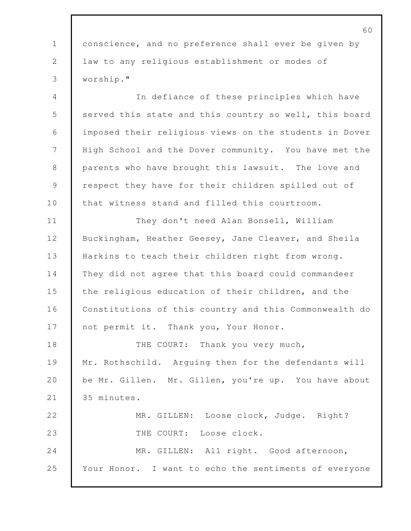60 1 conscience, and no preference shall ever be given by 2 law to any religious establishment or modes of 3 worship." 4 In defiance of these principles which have 5 served this state and this country so well, this board 6 imposed their religious views on the students in Dover 7 High School and the Dover community. You have met the 8 parents who have brought this lawsuit. The love and 9 | respect they have for their children spilled out of 10 that witness stand and filled this courtroom. 11 They don't need Alan Bonsell, William 12 Buckingham, Heather Geesey, Jane Cleaver, and Sheila 13 Harkins to teach their children right from wrong. 14 They did not agree that this board could commandeer 15 the religious education of their children, and the 16 Constitutions of this country and this Commonwealth do 17 not permit it. Thank you, Your Honor. 18 THE COURT: Thank you very much, 19 Mr. Rothschild. Arguing then for the defendants will 20 be Mr. Gillen. Mr. Gillen, you're up. You have about 21 | 35 minutes. 22 MR. GILLEN: Loose clock, Judge. Right? 23 THE COURT: Loose clock. 24 MR. GILLEN: All right. Good afternoon, 25 Your Honor. I want to echo the sentiments of everyone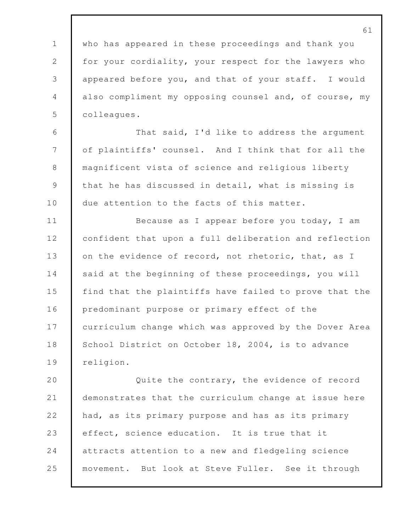who has appeared in these proceedings and thank you 2 for your cordiality, your respect for the lawyers who appeared before you, and that of your staff. I would also compliment my opposing counsel and, of course, my colleagues. That said, I'd like to address the argument of plaintiffs' counsel. And I think that for all the magnificent vista of science and religious liberty that he has discussed in detail, what is missing is 10 due attention to the facts of this matter. 11 Because as I appear before you today, I am confident that upon a full deliberation and reflection 13 on the evidence of record, not rhetoric, that, as I 14 said at the beginning of these proceedings, you will find that the plaintiffs have failed to prove that the 16 predominant purpose or primary effect of the 17 curriculum change which was approved by the Dover Area 18 School District on October 18, 2004, is to advance 19 | religion. **Quite the contrary, the evidence of record**  demonstrates that the curriculum change at issue here had, as its primary purpose and has as its primary effect, science education. It is true that it attracts attention to a new and fledgeling science

movement. But look at Steve Fuller. See it through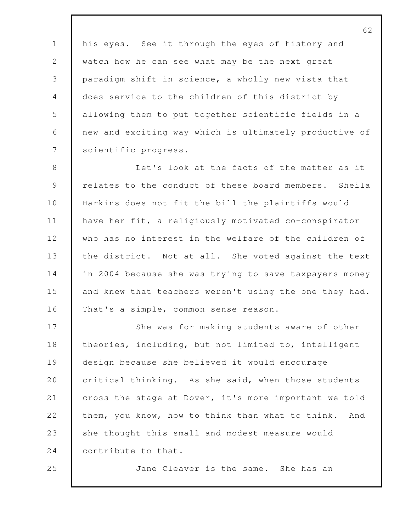1 his eyes. See it through the eyes of history and 2 watch how he can see what may be the next great paradigm shift in science, a wholly new vista that does service to the children of this district by allowing them to put together scientific fields in a new and exciting way which is ultimately productive of 7 Scientific progress.

 Let's look at the facts of the matter as it relates to the conduct of these board members. Sheila Harkins does not fit the bill the plaintiffs would have her fit, a religiously motivated co-conspirator who has no interest in the welfare of the children of 13 the district. Not at all. She voted against the text in 2004 because she was trying to save taxpayers money 15 and knew that teachers weren't using the one they had. That's a simple, common sense reason.

17 She was for making students aware of other 18 theories, including, but not limited to, intelligent design because she believed it would encourage 20 critical thinking. As she said, when those students cross the stage at Dover, it's more important we told 22 them, you know, how to think than what to think. And 23 she thought this small and modest measure would **contribute to that.** 

Jane Cleaver is the same. She has an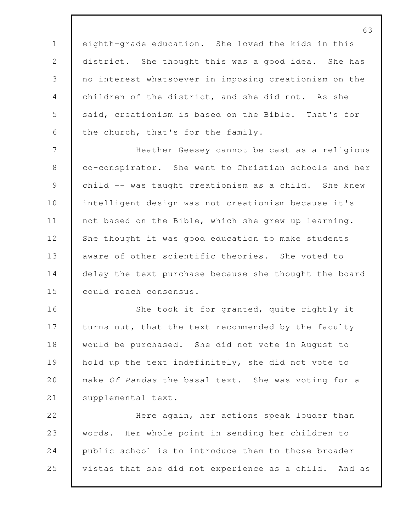eighth-grade education. She loved the kids in this district. She thought this was a good idea. She has no interest whatsoever in imposing creationism on the children of the district, and she did not. As she 5 said, creationism is based on the Bible. That's for 6 the church, that's for the family.

 Heather Geesey cannot be cast as a religious 8 co-conspirator. She went to Christian schools and her child -- was taught creationism as a child. She knew 10 intelligent design was not creationism because it's 11 not based on the Bible, which she grew up learning. 12 She thought it was good education to make students aware of other scientific theories. She voted to 14 delay the text purchase because she thought the board could reach consensus.

16 She took it for granted, quite rightly it 17 turns out, that the text recommended by the faculty would be purchased. She did not vote in August to hold up the text indefinitely, she did not vote to make *Of Pandas* the basal text. She was voting for a 21 | supplemental text.

 Here again, her actions speak louder than words. Her whole point in sending her children to public school is to introduce them to those broader vistas that she did not experience as a child. And as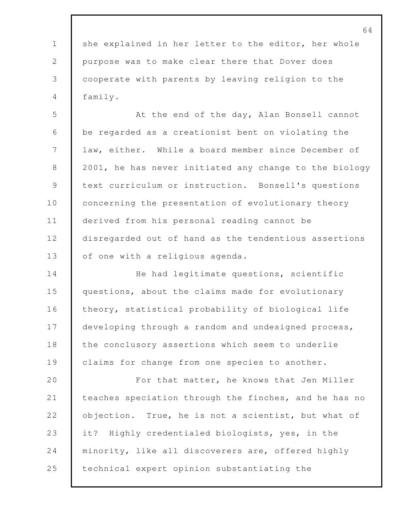1 she explained in her letter to the editor, her whole purpose was to make clear there that Dover does cooperate with parents by leaving religion to the family.

5 At the end of the day, Alan Bonsell cannot be regarded as a creationist bent on violating the law, either. While a board member since December of 8 2001, he has never initiated any change to the biology text curriculum or instruction. Bonsell's questions 10 concerning the presentation of evolutionary theory derived from his personal reading cannot be disregarded out of hand as the tendentious assertions 13 of one with a religious agenda.

14 He had legitimate questions, scientific questions, about the claims made for evolutionary theory, statistical probability of biological life developing through a random and undesigned process, 18 the conclusory assertions which seem to underlie claims for change from one species to another.

**For that matter, he knows that Jen Miller**  teaches speciation through the finches, and he has no **objection.** True, he is not a scientist, but what of 23 it? Highly credentialed biologists, yes, in the minority, like all discoverers are, offered highly **technical expert opinion substantiating the**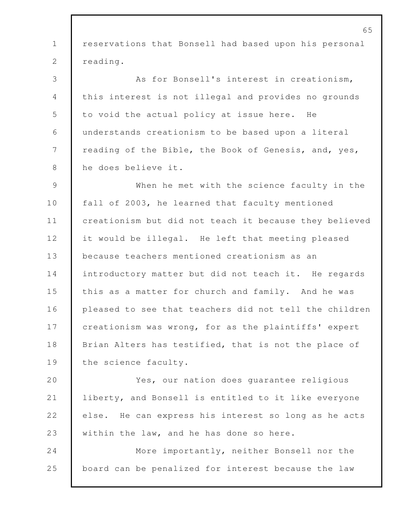reservations that Bonsell had based upon his personal 2 | reading. As for Bonsell's interest in creationism, this interest is not illegal and provides no grounds to void the actual policy at issue here. He understands creationism to be based upon a literal 7 | reading of the Bible, the Book of Genesis, and, yes, he does believe it. When he met with the science faculty in the fall of 2003, he learned that faculty mentioned creationism but did not teach it because they believed it would be illegal. He left that meeting pleased because teachers mentioned creationism as an 14 introductory matter but did not teach it. He regards 15 this as a matter for church and family. And he was pleased to see that teachers did not tell the children creationism was wrong, for as the plaintiffs' expert 18 | Brian Alters has testified, that is not the place of 19 the science faculty. Yes, our nation does guarantee religious liberty, and Bonsell is entitled to it like everyone else. He can express his interest so long as he acts 23 within the law, and he has done so here. More importantly, neither Bonsell nor the board can be penalized for interest because the law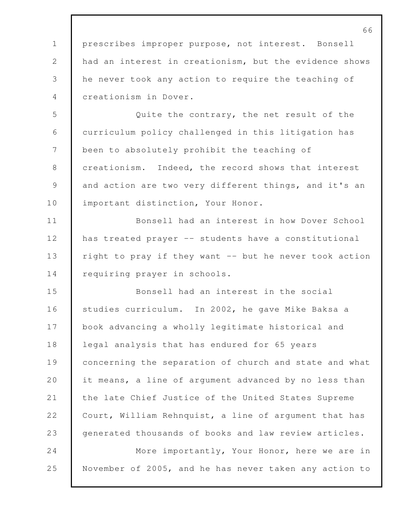prescribes improper purpose, not interest. Bonsell had an interest in creationism, but the evidence shows he never took any action to require the teaching of creationism in Dover.

 Quite the contrary, the net result of the curriculum policy challenged in this litigation has 7 been to absolutely prohibit the teaching of creationism. Indeed, the record shows that interest 9 and action are two very different things, and it's an 10 | important distinction, Your Honor.

 Bonsell had an interest in how Dover School has treated prayer -- students have a constitutional right to pray if they want -- but he never took action 14 requiring prayer in schools.

 Bonsell had an interest in the social studies curriculum. In 2002, he gave Mike Baksa a 17 book advancing a wholly legitimate historical and 18 legal analysis that has endured for 65 years 19 concerning the separation of church and state and what 20 it means, a line of argument advanced by no less than 21 | the late Chief Justice of the United States Supreme 22 Court, William Rehnquist, a line of argument that has generated thousands of books and law review articles. More importantly, Your Honor, here we are in November of 2005, and he has never taken any action to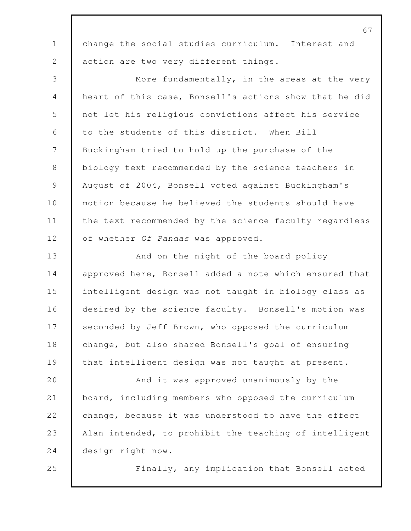|                 | 67                                                     |
|-----------------|--------------------------------------------------------|
| $\mathbf 1$     | change the social studies curriculum. Interest and     |
| 2               | action are two very different things.                  |
| 3               | More fundamentally, in the areas at the very           |
| 4               | heart of this case, Bonsell's actions show that he did |
| 5               | not let his religious convictions affect his service   |
| 6               | to the students of this district. When Bill            |
| $7\phantom{.0}$ | Buckingham tried to hold up the purchase of the        |
| $8\,$           | biology text recommended by the science teachers in    |
| $\mathcal{G}$   | August of 2004, Bonsell voted against Buckingham's     |
| 10              | motion because he believed the students should have    |
| 11              | the text recommended by the science faculty regardless |
| 12              | of whether Of Pandas was approved.                     |
| 13              | And on the night of the board policy                   |
| 14              | approved here, Bonsell added a note which ensured that |
| 15              | intelligent design was not taught in biology class as  |
| 16              | desired by the science faculty. Bonsell's motion was   |
| 17              | seconded by Jeff Brown, who opposed the curriculum     |
| 18              | change, but also shared Bonsell's goal of ensuring     |
| 19              | that intelligent design was not taught at present.     |
| 20              | And it was approved unanimously by the                 |
| 21              | board, including members who opposed the curriculum    |
| 22              | change, because it was understood to have the effect   |
| 23              | Alan intended, to prohibit the teaching of intelligent |
| 24              | design right now.                                      |
| 25              | Finally, any implication that Bonsell acted            |
|                 |                                                        |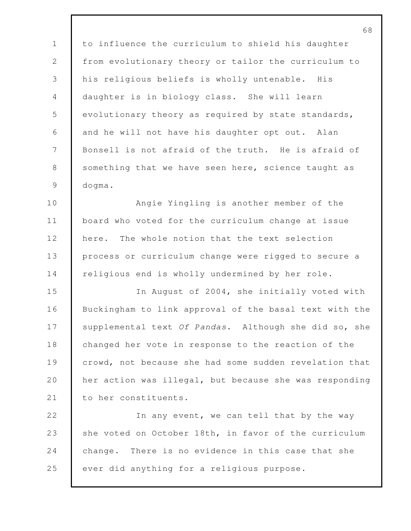to influence the curriculum to shield his daughter 2 from evolutionary theory or tailor the curriculum to his religious beliefs is wholly untenable. His daughter is in biology class. She will learn evolutionary theory as required by state standards, and he will not have his daughter opt out. Alan Bonsell is not afraid of the truth. He is afraid of 8 something that we have seen here, science taught as dogma.

 Angie Yingling is another member of the board who voted for the curriculum change at issue 12 here. The whole notion that the text selection 13 process or curriculum change were rigged to secure a religious end is wholly undermined by her role.

 In August of 2004, she initially voted with Buckingham to link approval of the basal text with the supplemental text *Of Pandas*. Although she did so, she 18 changed her vote in response to the reaction of the crowd, not because she had some sudden revelation that her action was illegal, but because she was responding 21 to her constituents.

22 In any event, we can tell that by the way 23 she voted on October 18th, in favor of the curriculum change. There is no evidence in this case that she 25 ever did anything for a religious purpose.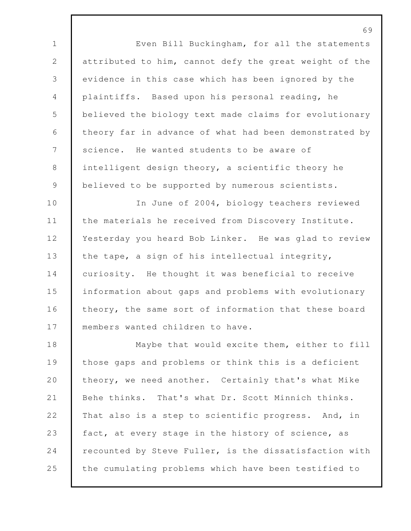Even Bill Buckingham, for all the statements attributed to him, cannot defy the great weight of the evidence in this case which has been ignored by the plaintiffs. Based upon his personal reading, he believed the biology text made claims for evolutionary theory far in advance of what had been demonstrated by 7 science. He wanted students to be aware of intelligent design theory, a scientific theory he 9 believed to be supported by numerous scientists.

10 In June of 2004, biology teachers reviewed 11 the materials he received from Discovery Institute. 12 Yesterday you heard Bob Linker. He was glad to review 13 the tape, a sign of his intellectual integrity, 14 curiosity. He thought it was beneficial to receive 15 information about gaps and problems with evolutionary 16 theory, the same sort of information that these board 17 members wanted children to have.

18 Maybe that would excite them, either to fill 19 those gaps and problems or think this is a deficient 20 theory, we need another. Certainly that's what Mike 21 Behe thinks. That's what Dr. Scott Minnich thinks. 22 That also is a step to scientific progress. And, in 23 fact, at every stage in the history of science, as 24 recounted by Steve Fuller, is the dissatisfaction with 25 the cumulating problems which have been testified to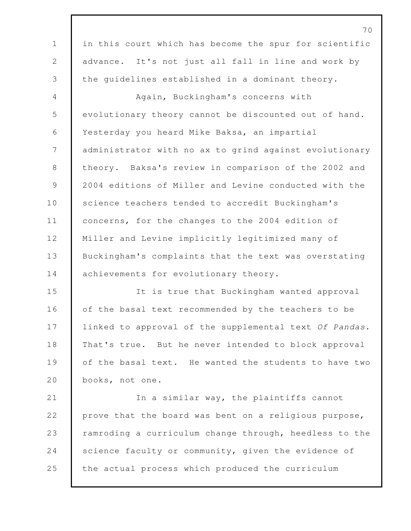in this court which has become the spur for scientific advance. It's not just all fall in line and work by the guidelines established in a dominant theory. Again, Buckingham's concerns with evolutionary theory cannot be discounted out of hand. Yesterday you heard Mike Baksa, an impartial administrator with no ax to grind against evolutionary 8 theory. Baksa's review in comparison of the 2002 and 2004 editions of Miller and Levine conducted with the 10 Science teachers tended to accredit Buckingham's 11 | concerns, for the changes to the 2004 edition of Miller and Levine implicitly legitimized many of Buckingham's complaints that the text was overstating 14 achievements for evolutionary theory. It is true that Buckingham wanted approval 16 of the basal text recommended by the teachers to be linked to approval of the supplemental text *Of Pandas*. 18 | That's true. But he never intended to block approval 19 of the basal text. He wanted the students to have two books, not one. In a similar way, the plaintiffs cannot prove that the board was bent on a religious purpose, 23 ramroding a curriculum change through, heedless to the 24 Science faculty or community, given the evidence of 25 the actual process which produced the curriculum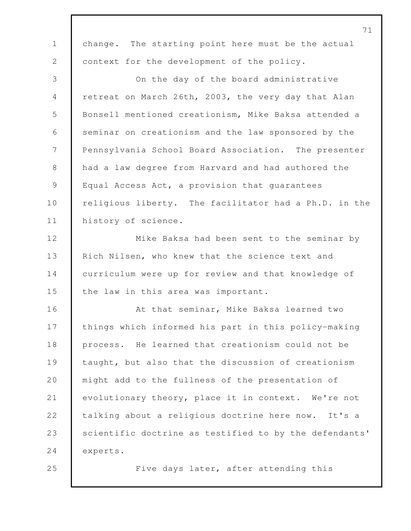|                | 71                                                     |
|----------------|--------------------------------------------------------|
| $\mathbf 1$    | change. The starting point here must be the actual     |
| 2              | context for the development of the policy.             |
| 3              | On the day of the board administrative                 |
| $\overline{4}$ | retreat on March 26th, 2003, the very day that Alan    |
| 5              | Bonsell mentioned creationism, Mike Baksa attended a   |
| 6              | seminar on creationism and the law sponsored by the    |
| 7              | Pennsylvania School Board Association. The presenter   |
| 8              | had a law degree from Harvard and had authored the     |
| 9              | Equal Access Act, a provision that guarantees          |
| 10             | religious liberty. The facilitator had a Ph.D. in the  |
| 11             | history of science.                                    |
| 12             | Mike Baksa had been sent to the seminar by             |
| 13             | Rich Nilsen, who knew that the science text and        |
| 14             | curriculum were up for review and that knowledge of    |
| 15             | the law in this area was important.                    |
| 16             | At that seminar, Mike Baksa learned two                |
| 17             | things which informed his part in this policy-making   |
| 18             | process. He learned that creationism could not be      |
| 19             | taught, but also that the discussion of creationism    |
| 20             | might add to the fullness of the presentation of       |
| 21             | evolutionary theory, place it in context. We're not    |
| 22             | talking about a religious doctrine here now. It's a    |
| 23             | scientific doctrine as testified to by the defendants' |
| 24             | experts.                                               |
| 25             | Five days later, after attending this                  |
|                |                                                        |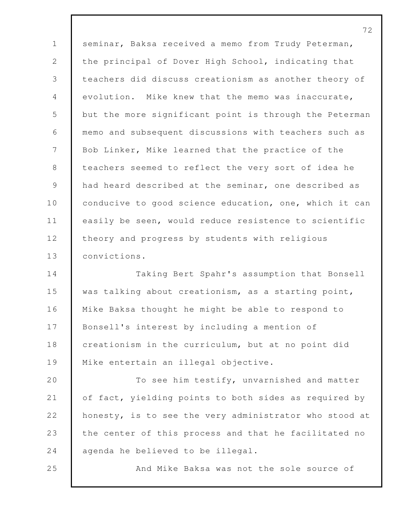72 1 | seminar, Baksa received a memo from Trudy Peterman, 2 the principal of Dover High School, indicating that 3 teachers did discuss creationism as another theory of 4 evolution. Mike knew that the memo was inaccurate, 5 but the more significant point is through the Peterman 6 memo and subsequent discussions with teachers such as 7 Bob Linker, Mike learned that the practice of the 8 teachers seemed to reflect the very sort of idea he 9 had heard described at the seminar, one described as 10 conducive to good science education, one, which it can 11 easily be seen, would reduce resistence to scientific 12 theory and progress by students with religious 13 convictions. 14 Taking Bert Spahr's assumption that Bonsell 15 was talking about creationism, as a starting point, 16 Mike Baksa thought he might be able to respond to 17 Bonsell's interest by including a mention of 18 creationism in the curriculum, but at no point did 19 Mike entertain an illegal objective. 20 To see him testify, unvarnished and matter 21 of fact, yielding points to both sides as required by 22 honesty, is to see the very administrator who stood at 23 the center of this process and that he facilitated no 24 agenda he believed to be illegal. 25 And Mike Baksa was not the sole source of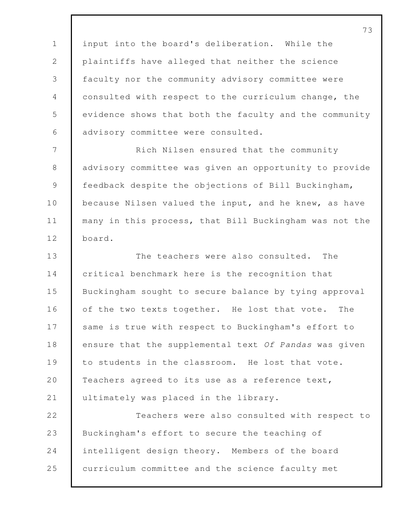input into the board's deliberation. While the plaintiffs have alleged that neither the science faculty nor the community advisory committee were consulted with respect to the curriculum change, the evidence shows that both the faculty and the community advisory committee were consulted.

 Rich Nilsen ensured that the community advisory committee was given an opportunity to provide feedback despite the objections of Bill Buckingham, 10 because Nilsen valued the input, and he knew, as have many in this process, that Bill Buckingham was not the board.

13 The teachers were also consulted. The **critical benchmark here is the recognition that**  Buckingham sought to secure balance by tying approval 16 of the two texts together. He lost that vote. The 17 Same is true with respect to Buckingham's effort to ensure that the supplemental text *Of Pandas* was given to students in the classroom. He lost that vote. 20 Teachers agreed to its use as a reference text, ultimately was placed in the library.

22 Teachers were also consulted with respect to Buckingham's effort to secure the teaching of intelligent design theory. Members of the board curriculum committee and the science faculty met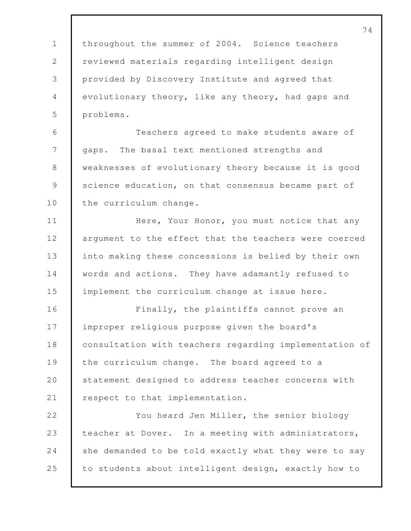74 1 throughout the summer of 2004. Science teachers 2 | reviewed materials regarding intelligent design 3 provided by Discovery Institute and agreed that 4 evolutionary theory, like any theory, had gaps and 5 problems. 6 Teachers agreed to make students aware of 7 | gaps. The basal text mentioned strengths and 8 weaknesses of evolutionary theory because it is good 9 science education, on that consensus became part of 10 the curriculum change. 11 Here, Your Honor, you must notice that any 12 argument to the effect that the teachers were coerced 13 into making these concessions is belied by their own 14 words and actions. They have adamantly refused to 15 implement the curriculum change at issue here. 16 Finally, the plaintiffs cannot prove an 17 improper religious purpose given the board's 18 consultation with teachers regarding implementation of 19 the curriculum change. The board agreed to a 20 Statement designed to address teacher concerns with 21 | respect to that implementation. 22 You heard Jen Miller, the senior biology 23 teacher at Dover. In a meeting with administrators, 24 she demanded to be told exactly what they were to say 25 to students about intelligent design, exactly how to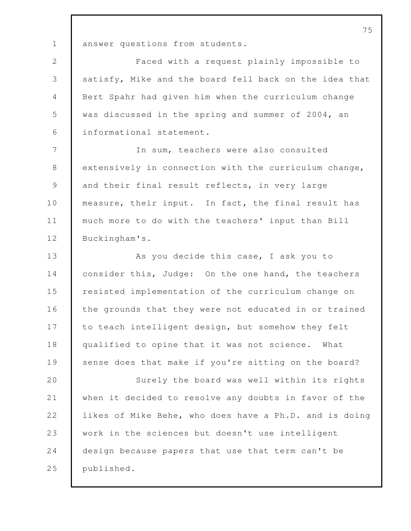1 answer questions from students.

 Faced with a request plainly impossible to 3 satisfy, Mike and the board fell back on the idea that Bert Spahr had given him when the curriculum change was discussed in the spring and summer of 2004, an informational statement.

 In sum, teachers were also consulted 8 extensively in connection with the curriculum change, 9 and their final result reflects, in very large 10 measure, their input. In fact, the final result has much more to do with the teachers' input than Bill 12 Buckingham's.

13 As you decide this case, I ask you to consider this, Judge: On the one hand, the teachers resisted implementation of the curriculum change on 16 the grounds that they were not educated in or trained 17 to teach intelligent design, but somehow they felt qualified to opine that it was not science. What 19 sense does that make if you're sitting on the board?

 Surely the board was well within its rights when it decided to resolve any doubts in favor of the likes of Mike Behe, who does have a Ph.D. and is doing work in the sciences but doesn't use intelligent design because papers that use that term can't be published.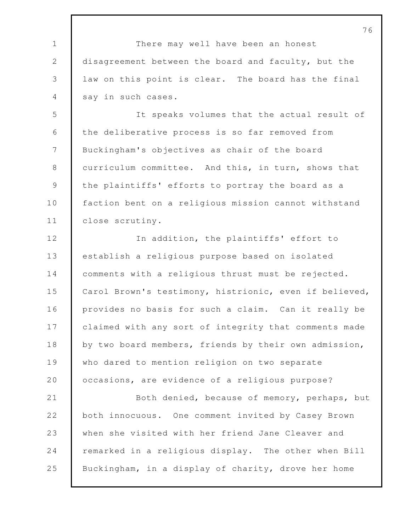There may well have been an honest disagreement between the board and faculty, but the law on this point is clear. The board has the final say in such cases.

 It speaks volumes that the actual result of 6 | the deliberative process is so far removed from 7 | Buckingham's objectives as chair of the board 8 curriculum committee. And this, in turn, shows that the plaintiffs' efforts to portray the board as a **faction bent on a religious mission cannot withstand** close scrutiny.

12 In addition, the plaintiffs' effort to establish a religious purpose based on isolated comments with a religious thrust must be rejected. Carol Brown's testimony, histrionic, even if believed, provides no basis for such a claim. Can it really be 17 claimed with any sort of integrity that comments made 18 by two board members, friends by their own admission, who dared to mention religion on two separate **occasions, are evidence of a religious purpose?** 

 Both denied, because of memory, perhaps, but both innocuous. One comment invited by Casey Brown when she visited with her friend Jane Cleaver and remarked in a religious display. The other when Bill Buckingham, in a display of charity, drove her home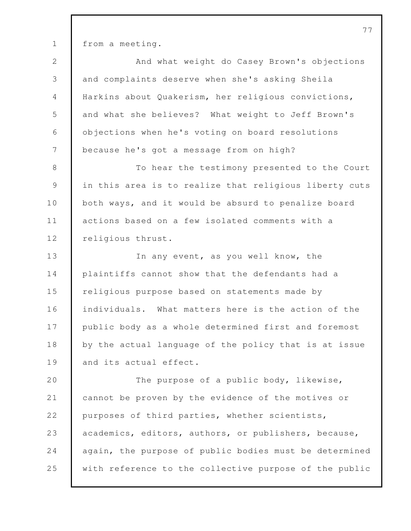from a meeting.

2 And what weight do Casey Brown's objections and complaints deserve when she's asking Sheila Harkins about Quakerism, her religious convictions, and what she believes? What weight to Jeff Brown's objections when he's voting on board resolutions because he's got a message from on high? To hear the testimony presented to the Court in this area is to realize that religious liberty cuts 10 both ways, and it would be absurd to penalize board actions based on a few isolated comments with a 12 religious thrust. 13 In any event, as you well know, the 14 plaintiffs cannot show that the defendants had a religious purpose based on statements made by individuals. What matters here is the action of the 17 public body as a whole determined first and foremost by the actual language of the policy that is at issue 19 and its actual effect. 20 The purpose of a public body, likewise, cannot be proven by the evidence of the motives or 22 purposes of third parties, whether scientists,

 academics, editors, authors, or publishers, because, again, the purpose of public bodies must be determined with reference to the collective purpose of the public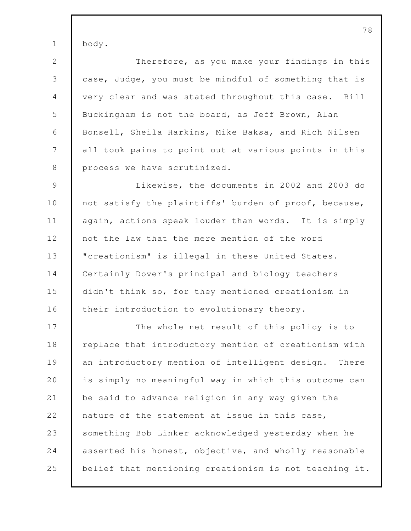1 body.

 Therefore, as you make your findings in this case, Judge, you must be mindful of something that is very clear and was stated throughout this case. Bill 5 Buckingham is not the board, as Jeff Brown, Alan Bonsell, Sheila Harkins, Mike Baksa, and Rich Nilsen all took pains to point out at various points in this 8 process we have scrutinized.

9 Likewise, the documents in 2002 and 2003 do 10 not satisfy the plaintiffs' burden of proof, because, 11 again, actions speak louder than words. It is simply 12 not the law that the mere mention of the word 13 **We "**creationism" is illegal in these United States. 14 Certainly Dover's principal and biology teachers 15 didn't think so, for they mentioned creationism in 16 their introduction to evolutionary theory.

17 The whole net result of this policy is to 18 Peplace that introductory mention of creationism with 19 an introductory mention of intelligent design. There 20 is simply no meaningful way in which this outcome can 21 be said to advance religion in any way given the 22 nature of the statement at issue in this case, 23 something Bob Linker acknowledged yesterday when he 24 asserted his honest, objective, and wholly reasonable 25 belief that mentioning creationism is not teaching it.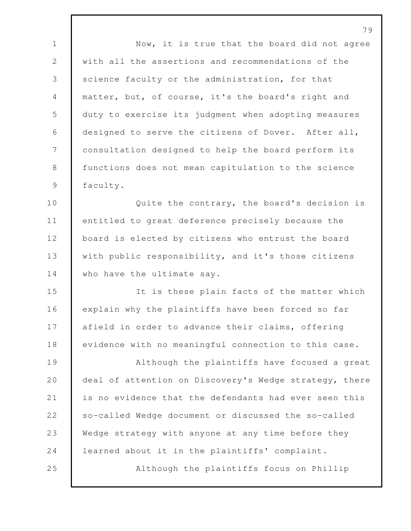1 Now, it is true that the board did not agree with all the assertions and recommendations of the 3 science faculty or the administration, for that matter, but, of course, it's the board's right and duty to exercise its judgment when adopting measures designed to serve the citizens of Dover. After all, consultation designed to help the board perform its 8 functions does not mean capitulation to the science 9 | faculty.

**Quite the contrary, the board's decision is**  entitled to great deference precisely because the 12 board is elected by citizens who entrust the board 13 with public responsibility, and it's those citizens 14 who have the ultimate say.

 It is these plain facts of the matter which explain why the plaintiffs have been forced so far 17 afield in order to advance their claims, offering 18 evidence with no meaningful connection to this case.

 Although the plaintiffs have focused a great 20 deal of attention on Discovery's Wedge strategy, there is no evidence that the defendants had ever seen this so-called Wedge document or discussed the so-called Wedge strategy with anyone at any time before they learned about it in the plaintiffs' complaint. Although the plaintiffs focus on Phillip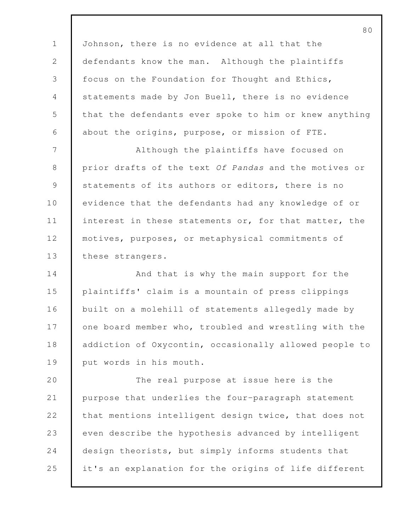Johnson, there is no evidence at all that the 2 defendants know the man. Although the plaintiffs focus on the Foundation for Thought and Ethics, statements made by Jon Buell, there is no evidence 5 that the defendants ever spoke to him or knew anything about the origins, purpose, or mission of FTE.

7 Although the plaintiffs have focused on 8 prior drafts of the text *Of Pandas* and the motives or 9 statements of its authors or editors, there is no 10 evidence that the defendants had any knowledge of or 11 interest in these statements or, for that matter, the 12 motives, purposes, or metaphysical commitments of 13 these strangers.

**And that is why the main support for the**  plaintiffs' claim is a mountain of press clippings built on a molehill of statements allegedly made by 17 one board member who, troubled and wrestling with the addiction of Oxycontin, occasionally allowed people to 19 put words in his mouth.

20 The real purpose at issue here is the 21 purpose that underlies the four-paragraph statement 22 that mentions intelligent design twice, that does not 23 even describe the hypothesis advanced by intelligent 24 design theorists, but simply informs students that 25 it's an explanation for the origins of life different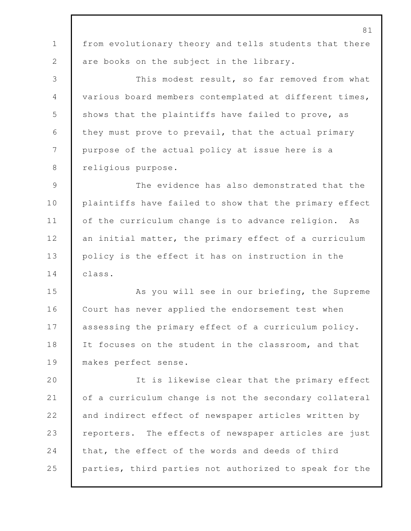81 1 from evolutionary theory and tells students that there 2 are books on the subject in the library. 3 This modest result, so far removed from what 4 various board members contemplated at different times, 5 shows that the plaintiffs have failed to prove, as 6 they must prove to prevail, that the actual primary 7 purpose of the actual policy at issue here is a 8 religious purpose. 9 The evidence has also demonstrated that the 10 | plaintiffs have failed to show that the primary effect 11 of the curriculum change is to advance religion. As 12 an initial matter, the primary effect of a curriculum 13 policy is the effect it has on instruction in the 14 class. 15 As you will see in our briefing, the Supreme 16 Court has never applied the endorsement test when 17 assessing the primary effect of a curriculum policy. 18 It focuses on the student in the classroom, and that 19 makes perfect sense. 20 It is likewise clear that the primary effect 21 of a curriculum change is not the secondary collateral 22 and indirect effect of newspaper articles written by 23 Perporters. The effects of newspaper articles are just 24 that, the effect of the words and deeds of third 25 parties, third parties not authorized to speak for the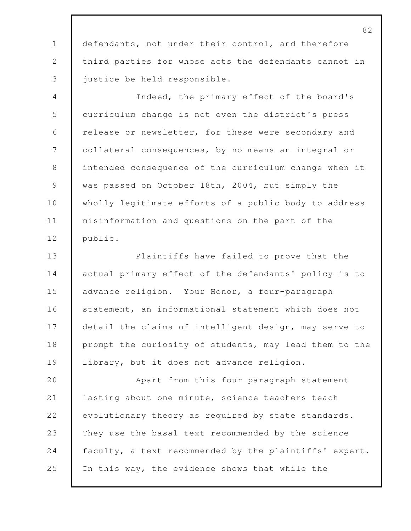defendants, not under their control, and therefore third parties for whose acts the defendants cannot in justice be held responsible.

 Indeed, the primary effect of the board's curriculum change is not even the district's press 6 | release or newsletter, for these were secondary and collateral consequences, by no means an integral or intended consequence of the curriculum change when it 9 was passed on October 18th, 2004, but simply the 10 wholly legitimate efforts of a public body to address misinformation and questions on the part of the public.

 Plaintiffs have failed to prove that the 14 actual primary effect of the defendants' policy is to advance religion. Your Honor, a four-paragraph 16 statement, an informational statement which does not 17 detail the claims of intelligent design, may serve to 18 prompt the curiosity of students, may lead them to the 19 | library, but it does not advance religion.

 Apart from this four-paragraph statement lasting about one minute, science teachers teach evolutionary theory as required by state standards. They use the basal text recommended by the science 24 faculty, a text recommended by the plaintiffs' expert. In this way, the evidence shows that while the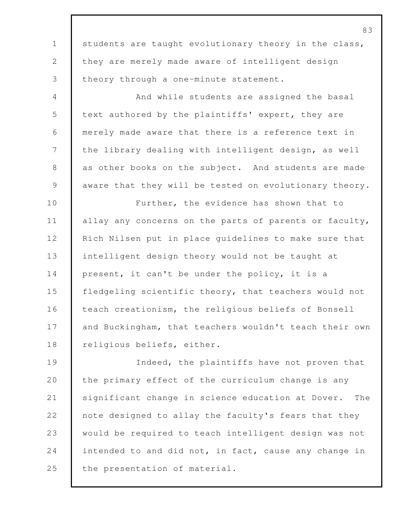83 1 students are taught evolutionary theory in the class, 2 they are merely made aware of intelligent design 3 theory through a one-minute statement. 4 And while students are assigned the basal 5 text authored by the plaintiffs' expert, they are 6 merely made aware that there is a reference text in 7 the library dealing with intelligent design, as well 8 as other books on the subject. And students are made 9 aware that they will be tested on evolutionary theory. 10 **Further**, the evidence has shown that to 11 allay any concerns on the parts of parents or faculty, 12 Rich Nilsen put in place quidelines to make sure that 13 intelligent design theory would not be taught at 14 present, it can't be under the policy, it is a 15 fledgeling scientific theory, that teachers would not 16 teach creationism, the religious beliefs of Bonsell 17 and Buckingham, that teachers wouldn't teach their own 18 religious beliefs, either. 19 Indeed, the plaintiffs have not proven that 20 the primary effect of the curriculum change is any 21 significant change in science education at Dover. The 22 note designed to allay the faculty's fears that they 23 would be required to teach intelligent design was not 24 intended to and did not, in fact, cause any change in 25 the presentation of material.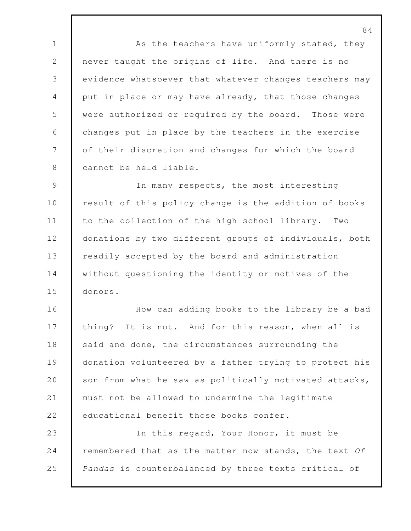1 As the teachers have uniformly stated, they never taught the origins of life. And there is no evidence whatsoever that whatever changes teachers may put in place or may have already, that those changes were authorized or required by the board. Those were changes put in place by the teachers in the exercise 7 of their discretion and changes for which the board 8 cannot be held liable.

 In many respects, the most interesting 10 result of this policy change is the addition of books to the collection of the high school library. Two 12 donations by two different groups of individuals, both **Paramele 13** readily accepted by the board and administration 14 without questioning the identity or motives of the donors.

 How can adding books to the library be a bad 17 thing? It is not. And for this reason, when all is 18 said and done, the circumstances surrounding the **donation volunteered by a father trying to protect his** 20 son from what he saw as politically motivated attacks, must not be allowed to undermine the legitimate 22 educational benefit those books confer.

 In this regard, Your Honor, it must be remembered that as the matter now stands, the text *Of Pandas* is counterbalanced by three texts critical of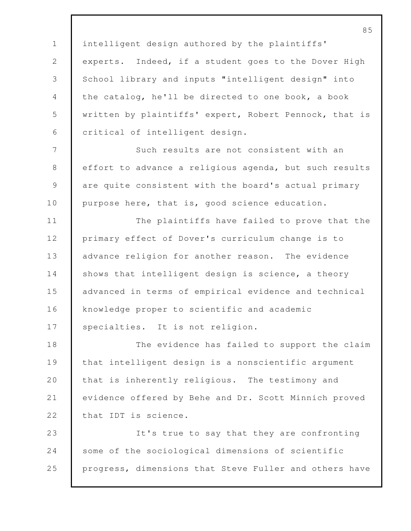intelligent design authored by the plaintiffs' experts. Indeed, if a student goes to the Dover High School library and inputs "intelligent design" into the catalog, he'll be directed to one book, a book written by plaintiffs' expert, Robert Pennock, that is critical of intelligent design.

7 Such results are not consistent with an 8 effort to advance a religious agenda, but such results 9 are quite consistent with the board's actual primary 10 purpose here, that is, good science education.

11 The plaintiffs have failed to prove that the 12 primary effect of Dover's curriculum change is to 13 advance religion for another reason. The evidence 14 shows that intelligent design is science, a theory 15 advanced in terms of empirical evidence and technical 16 knowledge proper to scientific and academic 17 | specialties. It is not religion.

18 The evidence has failed to support the claim 19 that intelligent design is a nonscientific argument 20 that is inherently religious. The testimony and 21 evidence offered by Behe and Dr. Scott Minnich proved 22 that IDT is science.

23 It's true to say that they are confronting 24 some of the sociological dimensions of scientific 25 progress, dimensions that Steve Fuller and others have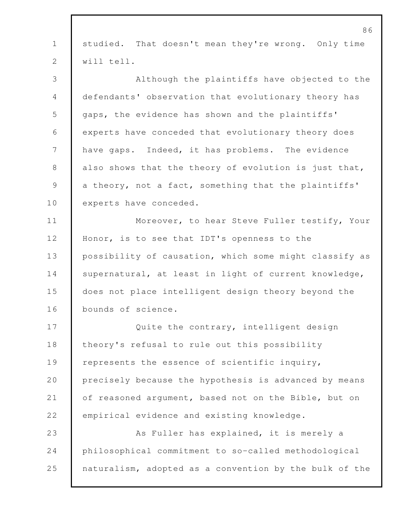|              | 86                                                     |
|--------------|--------------------------------------------------------|
| $\mathbf{1}$ | That doesn't mean they're wrong. Only time<br>studied. |
| 2            | will tell.                                             |
| 3            | Although the plaintiffs have objected to the           |
| 4            | defendants' observation that evolutionary theory has   |
| 5            | gaps, the evidence has shown and the plaintiffs'       |
| 6            | experts have conceded that evolutionary theory does    |
| 7            | have gaps. Indeed, it has problems. The evidence       |
| $8\,$        | also shows that the theory of evolution is just that,  |
| 9            | a theory, not a fact, something that the plaintiffs'   |
| 10           | experts have conceded.                                 |
| 11           | Moreover, to hear Steve Fuller testify, Your           |
| 12           | Honor, is to see that IDT's openness to the            |
| 13           | possibility of causation, which some might classify as |
| 14           | supernatural, at least in light of current knowledge,  |
| 15           | does not place intelligent design theory beyond the    |
| 16           | bounds of science.                                     |
| 17           | Quite the contrary, intelligent design                 |
| 18           | theory's refusal to rule out this possibility          |
| 19           | represents the essence of scientific inquiry,          |
| 20           | precisely because the hypothesis is advanced by means  |
| 21           | of reasoned argument, based not on the Bible, but on   |
| 22           | empirical evidence and existing knowledge.             |
| 23           | As Fuller has explained, it is merely a                |
| 24           | philosophical commitment to so-called methodological   |
| 25           | naturalism, adopted as a convention by the bulk of the |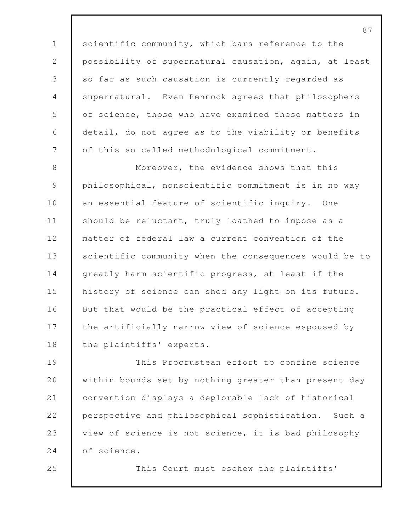1 scientific community, which bars reference to the 2 possibility of supernatural causation, again, at least 3 so far as such causation is currently regarded as 4 supernatural. Even Pennock agrees that philosophers 5 of science, those who have examined these matters in 6 detail, do not agree as to the viability or benefits 7 of this so-called methodological commitment. 8 Moreover, the evidence shows that this 9 philosophical, nonscientific commitment is in no way 10 an essential feature of scientific inquiry. One 11 should be reluctant, truly loathed to impose as a 12 matter of federal law a current convention of the 13 scientific community when the consequences would be to 14 greatly harm scientific progress, at least if the 15 history of science can shed any light on its future. 16 But that would be the practical effect of accepting 17 the artificially narrow view of science espoused by 18 the plaintiffs' experts. 19 This Procrustean effort to confine science

20 within bounds set by nothing greater than present-day 21 convention displays a deplorable lack of historical 22 perspective and philosophical sophistication. Such a 23 view of science is not science, it is bad philosophy 24 of science.

25 This Court must eschew the plaintiffs'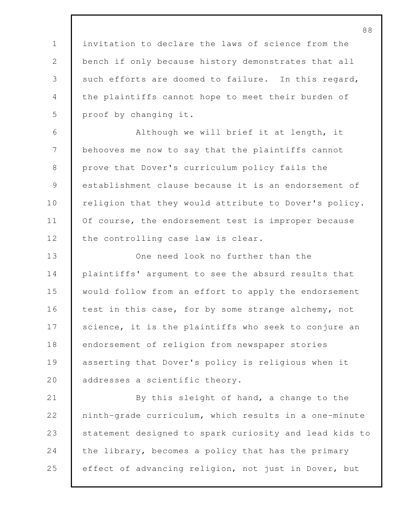invitation to declare the laws of science from the bench if only because history demonstrates that all 3 such efforts are doomed to failure. In this regard, the plaintiffs cannot hope to meet their burden of proof by changing it.

 Although we will brief it at length, it behooves me now to say that the plaintiffs cannot 8 | prove that Dover's curriculum policy fails the establishment clause because it is an endorsement of 10 religion that they would attribute to Dover's policy. 11 Of course, the endorsement test is improper because 12 the controlling case law is clear.

 One need look no further than the plaintiffs' argument to see the absurd results that would follow from an effort to apply the endorsement 16 test in this case, for by some strange alchemy, not 17 Science, it is the plaintiffs who seek to conjure an endorsement of religion from newspaper stories asserting that Dover's policy is religious when it 20 | addresses a scientific theory.

 By this sleight of hand, a change to the ninth-grade curriculum, which results in a one-minute 23 statement designed to spark curiosity and lead kids to 24 the library, becomes a policy that has the primary effect of advancing religion, not just in Dover, but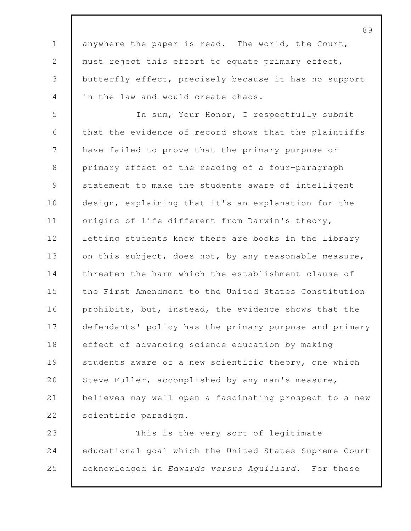1 anywhere the paper is read. The world, the Court, 2 must reject this effort to equate primary effect, 3 butterfly effect, precisely because it has no support 4 in the law and would create chaos.

5 In sum, Your Honor, I respectfully submit 6 that the evidence of record shows that the plaintiffs 7 have failed to prove that the primary purpose or 8 primary effect of the reading of a four-paragraph 9 statement to make the students aware of intelligent 10 design, explaining that it's an explanation for the 11 | origins of life different from Darwin's theory, 12 letting students know there are books in the library 13 on this subject, does not, by any reasonable measure, 14 threaten the harm which the establishment clause of 15 the First Amendment to the United States Constitution 16 prohibits, but, instead, the evidence shows that the 17 defendants' policy has the primary purpose and primary 18 effect of advancing science education by making 19 Students aware of a new scientific theory, one which 20 Steve Fuller, accomplished by any man's measure, 21 believes may well open a fascinating prospect to a new 22 scientific paradigm.

23 This is the very sort of legitimate 24 educational goal which the United States Supreme Court 25 acknowledged in *Edwards versus Aguillard*. For these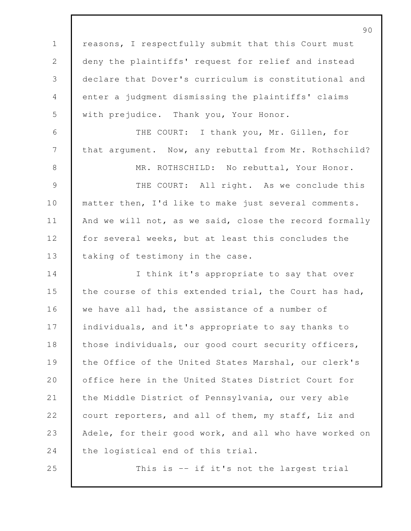90 1 | reasons, I respectfully submit that this Court must 2 deny the plaintiffs' request for relief and instead 3 declare that Dover's curriculum is constitutional and 4 enter a judgment dismissing the plaintiffs' claims 5 with prejudice. Thank you, Your Honor. 6 THE COURT: I thank you, Mr. Gillen, for 7 that argument. Now, any rebuttal from Mr. Rothschild? 8 MR. ROTHSCHILD: No rebuttal, Your Honor. 9 THE COURT: All right. As we conclude this 10 matter then, I'd like to make just several comments. 11 And we will not, as we said, close the record formally 12 for several weeks, but at least this concludes the 13 taking of testimony in the case. 14 I think it's appropriate to say that over 15 the course of this extended trial, the Court has had, 16 we have all had, the assistance of a number of 17 individuals, and it's appropriate to say thanks to 18 those individuals, our good court security officers, 19 the Office of the United States Marshal, our clerk's 20 office here in the United States District Court for 21 the Middle District of Pennsylvania, our very able 22 court reporters, and all of them, my staff, Liz and 23 Adele, for their good work, and all who have worked on 24 the logistical end of this trial. 25 This is -- if it's not the largest trial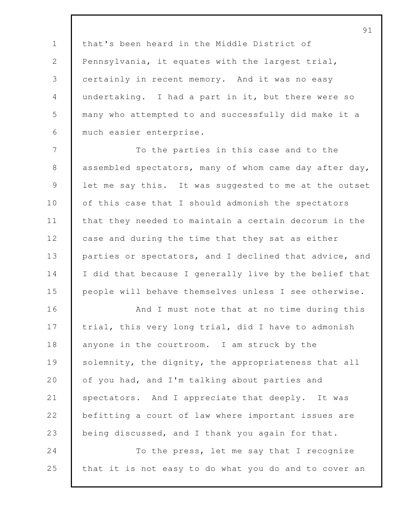that's been heard in the Middle District of 2 Pennsylvania, it equates with the largest trial, certainly in recent memory. And it was no easy undertaking. I had a part in it, but there were so many who attempted to and successfully did make it a much easier enterprise.

7 To the parties in this case and to the 8 assembled spectators, many of whom came day after day, 9 let me say this. It was suggested to me at the outset 10 of this case that I should admonish the spectators 11 that they needed to maintain a certain decorum in the 12 case and during the time that they sat as either 13 parties or spectators, and I declined that advice, and 14 I did that because I generally live by the belief that 15 people will behave themselves unless I see otherwise.

16 And I must note that at no time during this 17 trial, this very long trial, did I have to admonish 18 anyone in the courtroom. I am struck by the 19 Solemnity, the dignity, the appropriateness that all 20 of you had, and I'm talking about parties and 21 spectators. And I appreciate that deeply. It was 22 **befitting a court of law where important issues are** 23 being discussed, and I thank you again for that. 24 To the press, let me say that I recognize

25 that it is not easy to do what you do and to cover an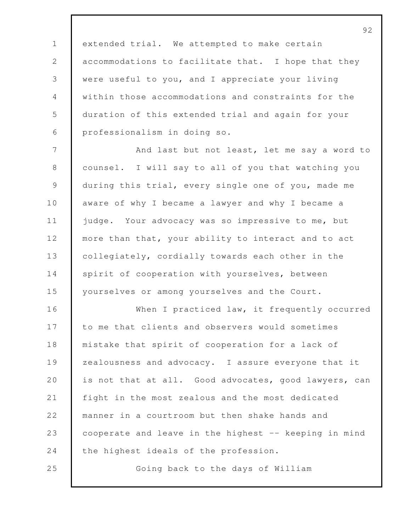extended trial. We attempted to make certain 2 accommodations to facilitate that. I hope that they were useful to you, and I appreciate your living within those accommodations and constraints for the duration of this extended trial and again for your professionalism in doing so.

7 And last but not least, let me say a word to 8 | counsel. I will say to all of you that watching you 9 during this trial, every single one of you, made me 10 aware of why I became a lawyer and why I became a 11 judge. Your advocacy was so impressive to me, but 12 more than that, your ability to interact and to act 13 collegiately, cordially towards each other in the 14 spirit of cooperation with yourselves, between 15 yourselves or among yourselves and the Court.

16 When I practiced law, it frequently occurred 17 to me that clients and observers would sometimes 18 mistake that spirit of cooperation for a lack of 19 zealousness and advocacy. I assure everyone that it 20 is not that at all. Good advocates, good lawyers, can 21 fight in the most zealous and the most dedicated 22 manner in a courtroom but then shake hands and 23 cooperate and leave in the highest -- keeping in mind 24 the highest ideals of the profession.

25 Going back to the days of William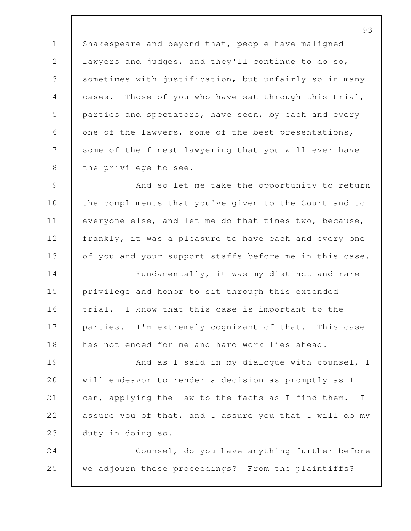1 Shakespeare and beyond that, people have maligned lawyers and judges, and they'll continue to do so, 3 sometimes with justification, but unfairly so in many cases. Those of you who have sat through this trial, parties and spectators, have seen, by each and every 6 one of the lawyers, some of the best presentations, 7 Some of the finest lawyering that you will ever have 8 | the privilege to see.

 And so let me take the opportunity to return 10 the compliments that you've given to the Court and to everyone else, and let me do that times two, because, 12 frankly, it was a pleasure to have each and every one 13 of you and your support staffs before me in this case.

 Fundamentally, it was my distinct and rare privilege and honor to sit through this extended trial. I know that this case is important to the 17 parties. I'm extremely cognizant of that. This case has not ended for me and hard work lies ahead.

**And as I said in my dialoque with counsel, I**  will endeavor to render a decision as promptly as I 21 can, applying the law to the facts as I find them. I assure you of that, and I assure you that I will do my duty in doing so.

 Counsel, do you have anything further before we adjourn these proceedings? From the plaintiffs?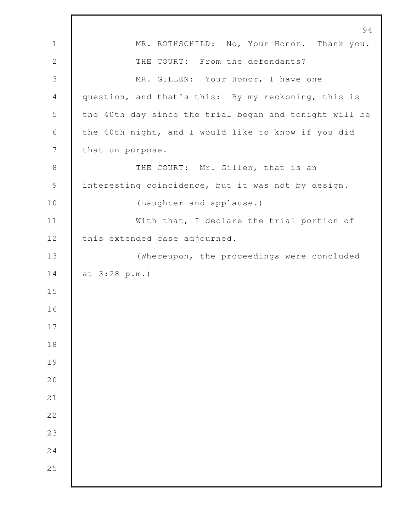|                  | 94                                                     |
|------------------|--------------------------------------------------------|
| $\mathbf 1$      | MR. ROTHSCHILD: No, Your Honor. Thank you.             |
| $\mathbf 2$      | THE COURT: From the defendants?                        |
| $\mathfrak{Z}$   | MR. GILLEN: Your Honor, I have one                     |
| $\overline{4}$   | question, and that's this: By my reckoning, this is    |
| 5                | the 40th day since the trial began and tonight will be |
| $\sqrt{6}$       | the 40th night, and I would like to know if you did    |
| $\boldsymbol{7}$ | that on purpose.                                       |
| $\,8\,$          | THE COURT: Mr. Gillen, that is an                      |
| $\mathcal{G}$    | interesting coincidence, but it was not by design.     |
| 10               | (Laughter and applause.)                               |
| 11               | With that, I declare the trial portion of              |
| 12               | this extended case adjourned.                          |
| 13               | (Whereupon, the proceedings were concluded             |
| 14               | at 3:28 p.m.)                                          |
| 15               |                                                        |
| 16               |                                                        |
| $17$             |                                                        |
| 18               |                                                        |
| 19               |                                                        |
| 20               |                                                        |
| 21               |                                                        |
| 22               |                                                        |
| 23               |                                                        |
| 24               |                                                        |
| 25               |                                                        |
|                  |                                                        |